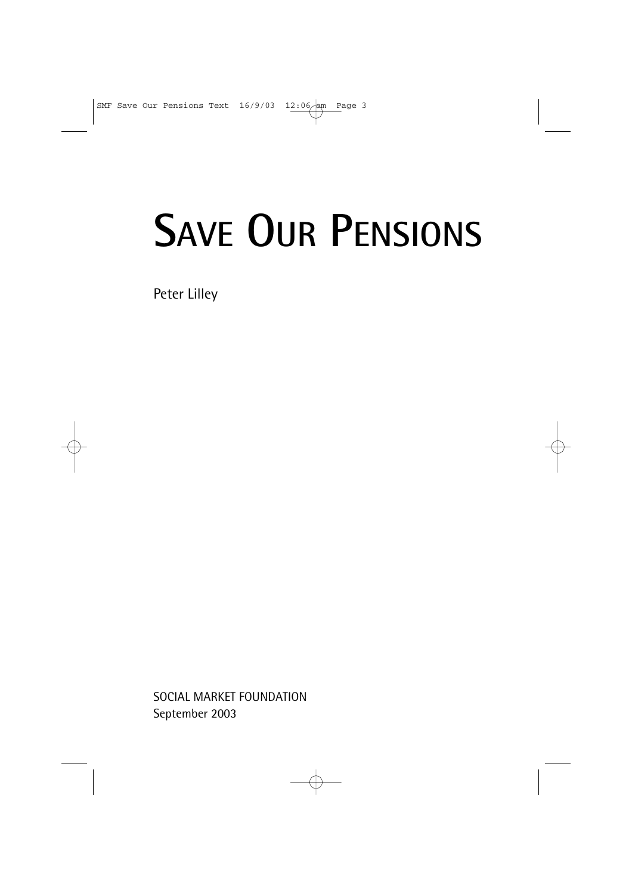# **SAVE OUR PENSIONS**

Peter Lilley

SOCIAL MARKET FOUNDATION September 2003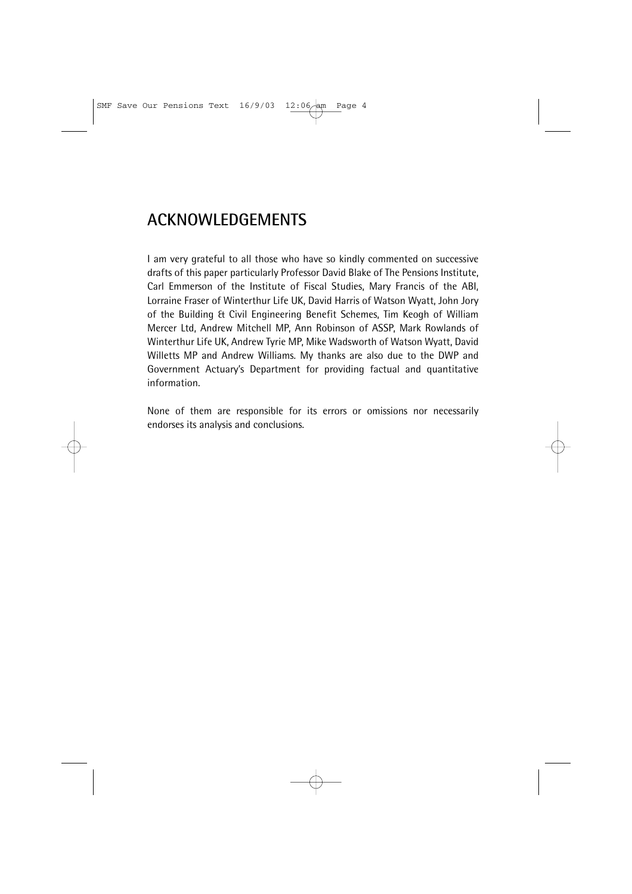# **ACKNOWLEDGEMENTS**

I am very grateful to all those who have so kindly commented on successive drafts of this paper particularly Professor David Blake of The Pensions Institute, Carl Emmerson of the Institute of Fiscal Studies, Mary Francis of the ABI, Lorraine Fraser of Winterthur Life UK, David Harris of Watson Wyatt, John Jory of the Building & Civil Engineering Benefit Schemes, Tim Keogh of William Mercer Ltd, Andrew Mitchell MP, Ann Robinson of ASSP, Mark Rowlands of Winterthur Life UK, Andrew Tyrie MP, Mike Wadsworth of Watson Wyatt, David Willetts MP and Andrew Williams. My thanks are also due to the DWP and Government Actuary's Department for providing factual and quantitative information.

None of them are responsible for its errors or omissions nor necessarily endorses its analysis and conclusions.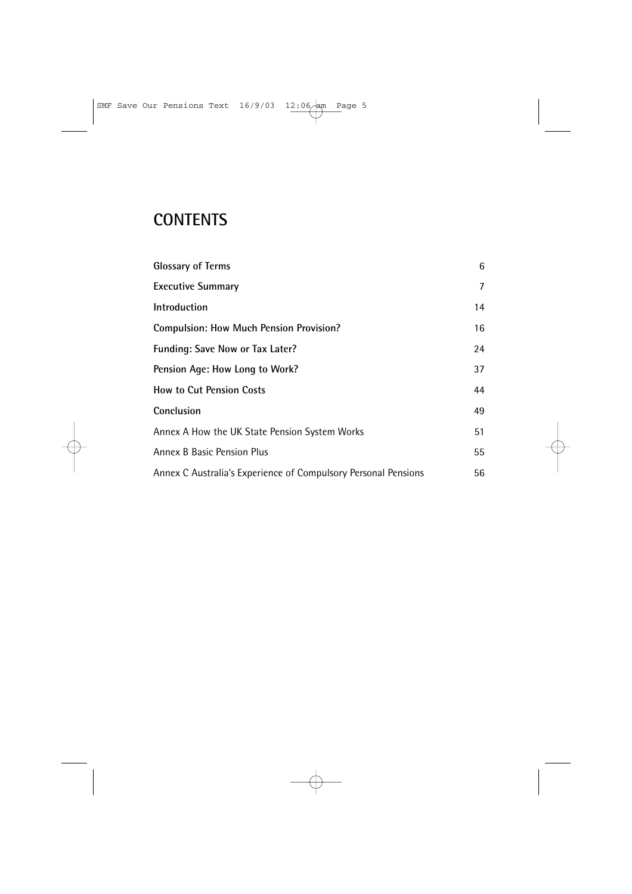# **CONTENTS**

| <b>Glossary of Terms</b>                                       | 6  |
|----------------------------------------------------------------|----|
| <b>Executive Summary</b>                                       | 7  |
| Introduction                                                   | 14 |
| <b>Compulsion: How Much Pension Provision?</b>                 | 16 |
| Funding: Save Now or Tax Later?                                | 24 |
| Pension Age: How Long to Work?                                 | 37 |
| <b>How to Cut Pension Costs</b>                                | 44 |
| Conclusion                                                     | 49 |
| Annex A How the UK State Pension System Works                  | 51 |
| Annex B Basic Pension Plus                                     | 55 |
| Annex C Australia's Experience of Compulsory Personal Pensions | 56 |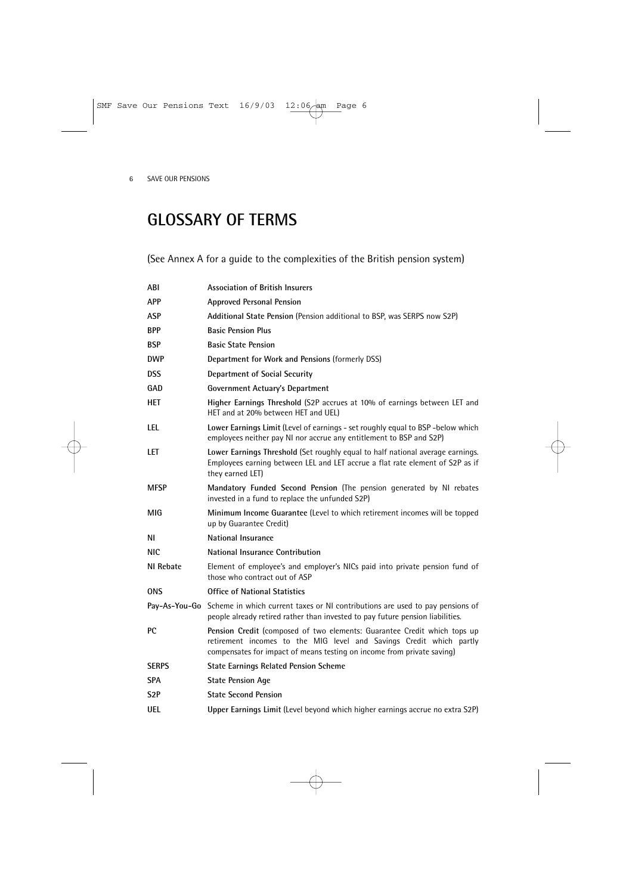# **GLOSSARY OF TERMS**

(See Annex A for a guide to the complexities of the British pension system)

| ABI              | <b>Association of British Insurers</b>                                                                                                                                                                                    |
|------------------|---------------------------------------------------------------------------------------------------------------------------------------------------------------------------------------------------------------------------|
| <b>APP</b>       | <b>Approved Personal Pension</b>                                                                                                                                                                                          |
| ASP              | Additional State Pension (Pension additional to BSP, was SERPS now S2P)                                                                                                                                                   |
| <b>BPP</b>       | <b>Basic Pension Plus</b>                                                                                                                                                                                                 |
| <b>BSP</b>       | <b>Basic State Pension</b>                                                                                                                                                                                                |
| <b>DWP</b>       | Department for Work and Pensions (formerly DSS)                                                                                                                                                                           |
| <b>DSS</b>       | <b>Department of Social Security</b>                                                                                                                                                                                      |
| GAD              | <b>Government Actuary's Department</b>                                                                                                                                                                                    |
| <b>HET</b>       | Higher Earnings Threshold (S2P accrues at 10% of earnings between LET and<br>HET and at 20% between HET and UEL)                                                                                                          |
| LEL              | Lower Earnings Limit (Level of earnings - set roughly equal to BSP -below which<br>employees neither pay NI nor accrue any entitlement to BSP and S2P)                                                                    |
| LET              | Lower Earnings Threshold (Set roughly equal to half national average earnings.<br>Employees earning between LEL and LET accrue a flat rate element of S2P as if<br>they earned LET)                                       |
| <b>MFSP</b>      | Mandatory Funded Second Pension (The pension generated by NI rebates<br>invested in a fund to replace the unfunded S2P)                                                                                                   |
| MIG              | Minimum Income Guarantee (Level to which retirement incomes will be topped<br>up by Guarantee Credit)                                                                                                                     |
| ΝI               | National Insurance                                                                                                                                                                                                        |
| NIC.             | National Insurance Contribution                                                                                                                                                                                           |
| NI Rebate        | Element of employee's and employer's NICs paid into private pension fund of<br>those who contract out of ASP                                                                                                              |
| <b>ONS</b>       | <b>Office of National Statistics</b>                                                                                                                                                                                      |
|                  | Pay-As-You-Go Scheme in which current taxes or NI contributions are used to pay pensions of<br>people already retired rather than invested to pay future pension liabilities.                                             |
| РC               | Pension Credit (composed of two elements: Guarantee Credit which tops up<br>retirement incomes to the MIG level and Savings Credit which partly<br>compensates for impact of means testing on income from private saving) |
| <b>SERPS</b>     | <b>State Earnings Related Pension Scheme</b>                                                                                                                                                                              |
| <b>SPA</b>       | <b>State Pension Age</b>                                                                                                                                                                                                  |
| S <sub>2</sub> P | <b>State Second Pension</b>                                                                                                                                                                                               |
| <b>UEL</b>       | Upper Earnings Limit (Level beyond which higher earnings accrue no extra S2P)                                                                                                                                             |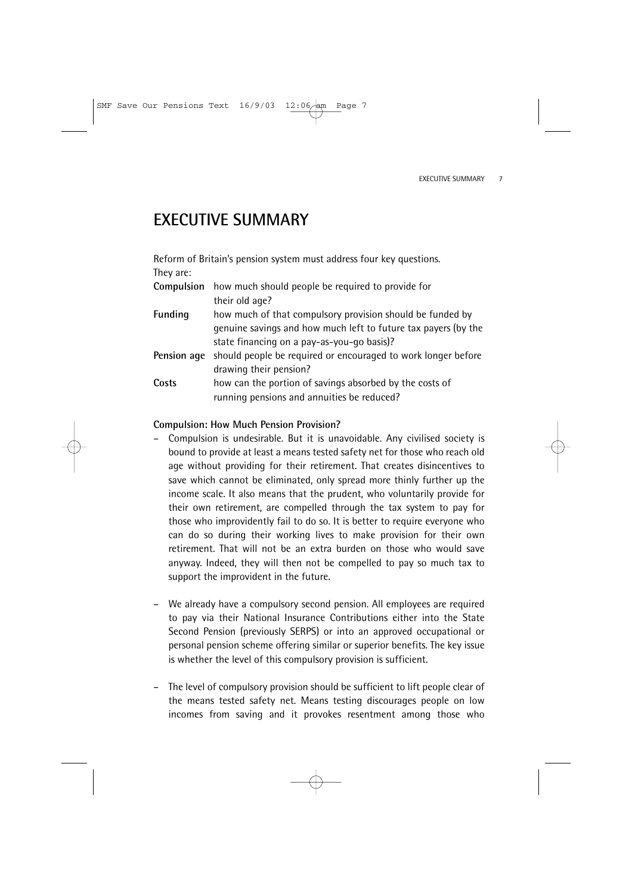# **EXECUTIVE SUMMARY**

Reform of Britain's pension system must address four key questions. They are:

| Compulsion     | how much should people be required to provide for                         |
|----------------|---------------------------------------------------------------------------|
|                | their old age?                                                            |
| <b>Funding</b> | how much of that compulsory provision should be funded by                 |
|                | genuine savings and how much left to future tax payers (by the            |
|                | state financing on a pay-as-you-go basis)?                                |
|                | Pension age should people be required or encouraged to work longer before |
|                | drawing their pension?                                                    |
| Costs          | how can the portion of savings absorbed by the costs of                   |

### running pensions and annuities be reduced?

### **Compulsion: How Much Pension Provision?**

- Compulsion is undesirable. But it is unavoidable. Any civilised society is bound to provide at least a means tested safety net for those who reach old age without providing for their retirement. That creates disincentives to save which cannot be eliminated, only spread more thinly further up the income scale. It also means that the prudent, who voluntarily provide for their own retirement, are compelled through the tax system to pay for those who improvidently fail to do so. It is better to require everyone who can do so during their working lives to make provision for their own retirement. That will not be an extra burden on those who would save anyway. Indeed, they will then not be compelled to pay so much tax to support the improvident in the future.
- We already have a compulsory second pension. All employees are required to pay via their National Insurance Contributions either into the State Second Pension (previously SERPS) or into an approved occupational or personal pension scheme offering similar or superior benefits. The key issue is whether the level of this compulsory provision is sufficient.
- The level of compulsory provision should be sufficient to lift people clear of the means tested safety net. Means testing discourages people on low incomes from saving and it provokes resentment among those who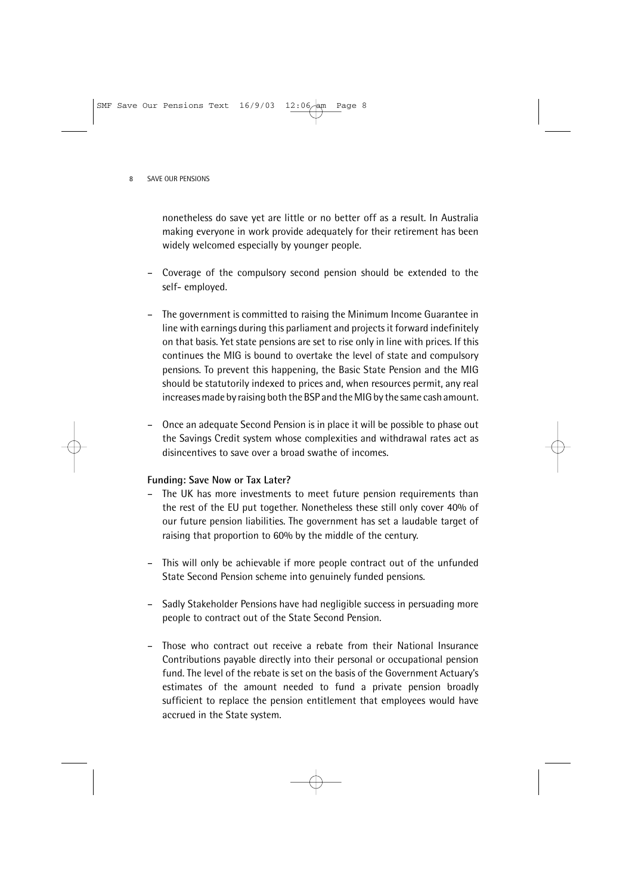nonetheless do save yet are little or no better off as a result. In Australia making everyone in work provide adequately for their retirement has been widely welcomed especially by younger people.

- Coverage of the compulsory second pension should be extended to the self- employed.
- The government is committed to raising the Minimum Income Guarantee in line with earnings during this parliament and projects it forward indefinitely on that basis. Yet state pensions are set to rise only in line with prices. If this continues the MIG is bound to overtake the level of state and compulsory pensions. To prevent this happening, the Basic State Pension and the MIG should be statutorily indexed to prices and, when resources permit, any real increases made by raising both the BSP and the MIG by the same cash amount.
- Once an adequate Second Pension is in place it will be possible to phase out the Savings Credit system whose complexities and withdrawal rates act as disincentives to save over a broad swathe of incomes.

### **Funding: Save Now or Tax Later?**

- The UK has more investments to meet future pension requirements than the rest of the EU put together. Nonetheless these still only cover 40% of our future pension liabilities. The government has set a laudable target of raising that proportion to 60% by the middle of the century.
- This will only be achievable if more people contract out of the unfunded State Second Pension scheme into genuinely funded pensions.
- Sadly Stakeholder Pensions have had negligible success in persuading more people to contract out of the State Second Pension.
- Those who contract out receive a rebate from their National Insurance Contributions payable directly into their personal or occupational pension fund. The level of the rebate is set on the basis of the Government Actuary's estimates of the amount needed to fund a private pension broadly sufficient to replace the pension entitlement that employees would have accrued in the State system.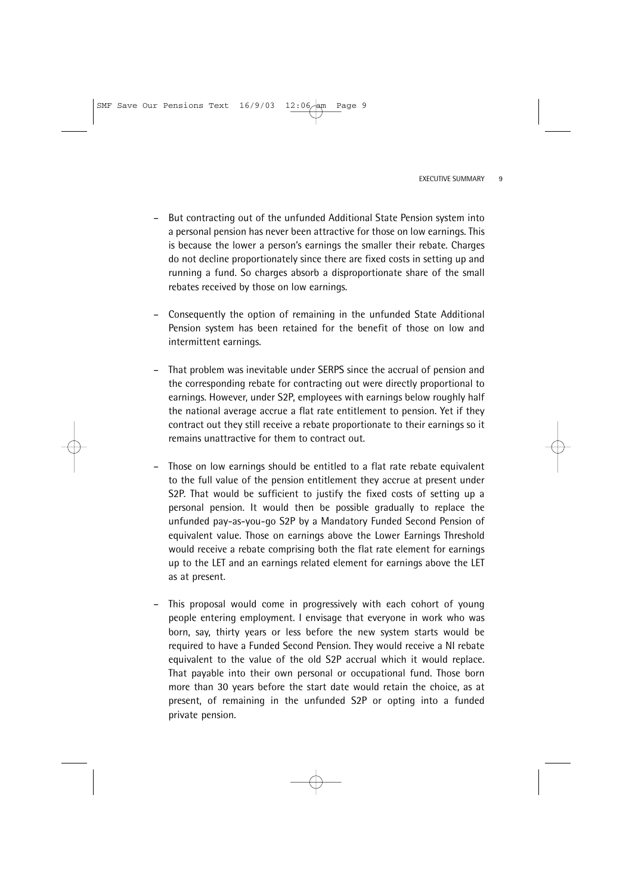- But contracting out of the unfunded Additional State Pension system into a personal pension has never been attractive for those on low earnings. This is because the lower a person's earnings the smaller their rebate. Charges do not decline proportionately since there are fixed costs in setting up and running a fund. So charges absorb a disproportionate share of the small rebates received by those on low earnings.
- Consequently the option of remaining in the unfunded State Additional Pension system has been retained for the benefit of those on low and intermittent earnings.
- That problem was inevitable under SERPS since the accrual of pension and the corresponding rebate for contracting out were directly proportional to earnings. However, under S2P, employees with earnings below roughly half the national average accrue a flat rate entitlement to pension. Yet if they contract out they still receive a rebate proportionate to their earnings so it remains unattractive for them to contract out.
- Those on low earnings should be entitled to a flat rate rebate equivalent to the full value of the pension entitlement they accrue at present under S2P. That would be sufficient to justify the fixed costs of setting up a personal pension. It would then be possible gradually to replace the unfunded pay-as-you-go S2P by a Mandatory Funded Second Pension of equivalent value. Those on earnings above the Lower Earnings Threshold would receive a rebate comprising both the flat rate element for earnings up to the LET and an earnings related element for earnings above the LET as at present.
- This proposal would come in progressively with each cohort of young people entering employment. I envisage that everyone in work who was born, say, thirty years or less before the new system starts would be required to have a Funded Second Pension. They would receive a NI rebate equivalent to the value of the old S2P accrual which it would replace. That payable into their own personal or occupational fund. Those born more than 30 years before the start date would retain the choice, as at present, of remaining in the unfunded S2P or opting into a funded private pension.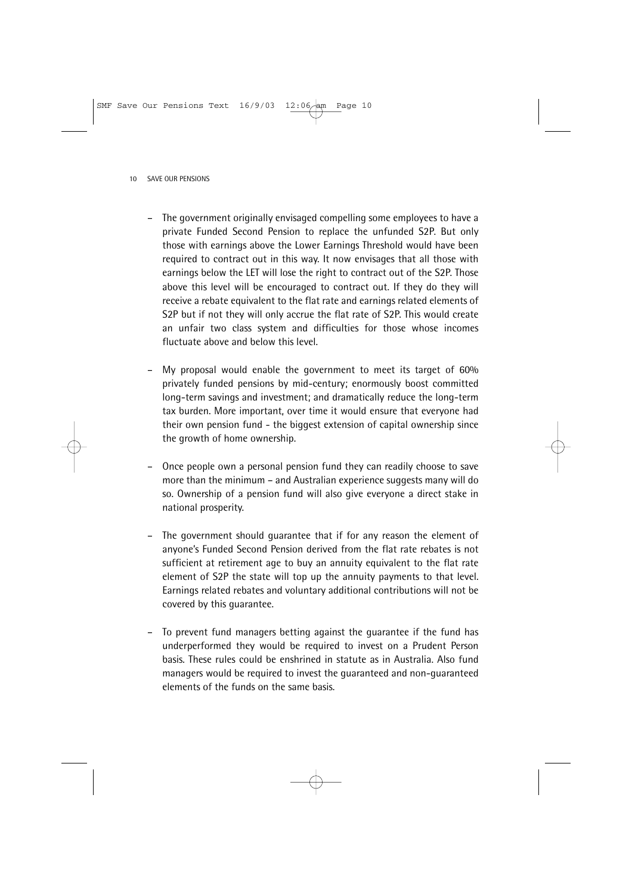- The government originally envisaged compelling some employees to have a private Funded Second Pension to replace the unfunded S2P. But only those with earnings above the Lower Earnings Threshold would have been required to contract out in this way. It now envisages that all those with earnings below the LET will lose the right to contract out of the S2P. Those above this level will be encouraged to contract out. If they do they will receive a rebate equivalent to the flat rate and earnings related elements of S2P but if not they will only accrue the flat rate of S2P. This would create an unfair two class system and difficulties for those whose incomes fluctuate above and below this level.
- My proposal would enable the government to meet its target of 60% privately funded pensions by mid-century; enormously boost committed long-term savings and investment; and dramatically reduce the long-term tax burden. More important, over time it would ensure that everyone had their own pension fund - the biggest extension of capital ownership since the growth of home ownership.
- Once people own a personal pension fund they can readily choose to save more than the minimum – and Australian experience suggests many will do so. Ownership of a pension fund will also give everyone a direct stake in national prosperity.
- The government should guarantee that if for any reason the element of anyone's Funded Second Pension derived from the flat rate rebates is not sufficient at retirement age to buy an annuity equivalent to the flat rate element of S2P the state will top up the annuity payments to that level. Earnings related rebates and voluntary additional contributions will not be covered by this guarantee.
- To prevent fund managers betting against the guarantee if the fund has underperformed they would be required to invest on a Prudent Person basis. These rules could be enshrined in statute as in Australia. Also fund managers would be required to invest the guaranteed and non-guaranteed elements of the funds on the same basis.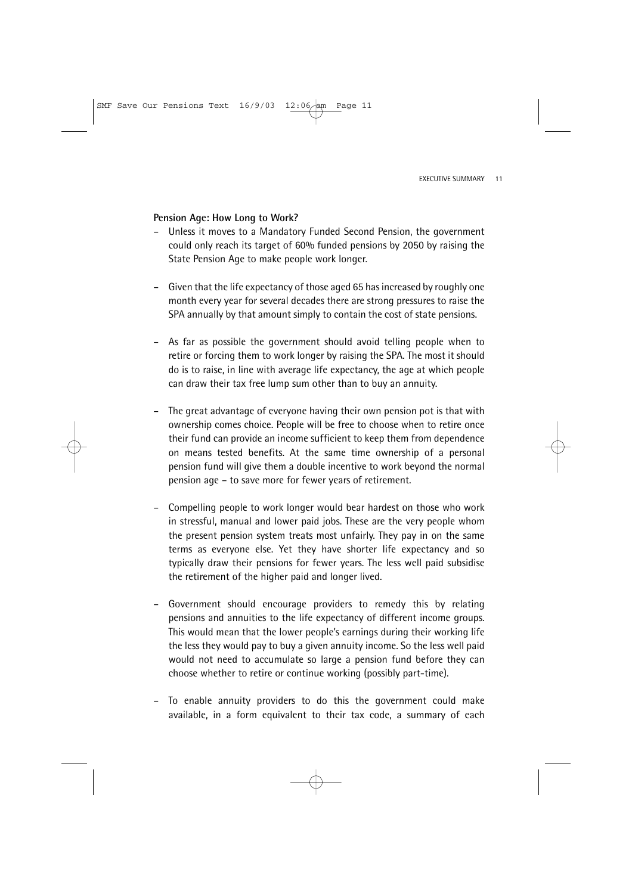### **Pension Age: How Long to Work?**

- Unless it moves to a Mandatory Funded Second Pension, the government could only reach its target of 60% funded pensions by 2050 by raising the State Pension Age to make people work longer.
- Given that the life expectancy of those aged 65 has increased by roughly one month every year for several decades there are strong pressures to raise the SPA annually by that amount simply to contain the cost of state pensions.
- As far as possible the government should avoid telling people when to retire or forcing them to work longer by raising the SPA. The most it should do is to raise, in line with average life expectancy, the age at which people can draw their tax free lump sum other than to buy an annuity.
- The great advantage of everyone having their own pension pot is that with ownership comes choice. People will be free to choose when to retire once their fund can provide an income sufficient to keep them from dependence on means tested benefits. At the same time ownership of a personal pension fund will give them a double incentive to work beyond the normal pension age – to save more for fewer years of retirement.
- Compelling people to work longer would bear hardest on those who work in stressful, manual and lower paid jobs. These are the very people whom the present pension system treats most unfairly. They pay in on the same terms as everyone else. Yet they have shorter life expectancy and so typically draw their pensions for fewer years. The less well paid subsidise the retirement of the higher paid and longer lived.
- Government should encourage providers to remedy this by relating pensions and annuities to the life expectancy of different income groups. This would mean that the lower people's earnings during their working life the less they would pay to buy a given annuity income. So the less well paid would not need to accumulate so large a pension fund before they can choose whether to retire or continue working (possibly part-time).
- To enable annuity providers to do this the government could make available, in a form equivalent to their tax code, a summary of each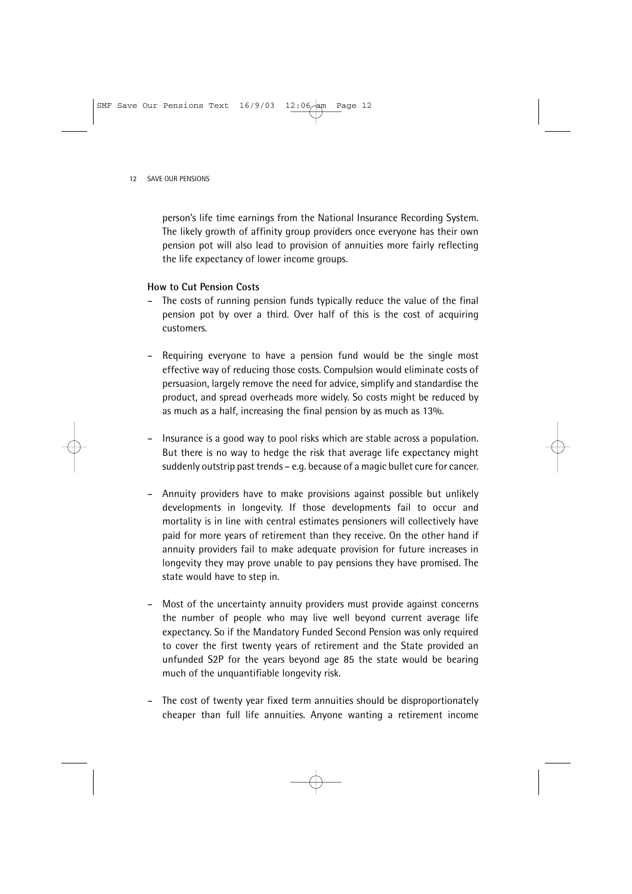person's life time earnings from the National Insurance Recording System. The likely growth of affinity group providers once everyone has their own pension pot will also lead to provision of annuities more fairly reflecting the life expectancy of lower income groups.

### **How to Cut Pension Costs**

- The costs of running pension funds typically reduce the value of the final pension pot by over a third. Over half of this is the cost of acquiring customers.
- Requiring everyone to have a pension fund would be the single most effective way of reducing those costs. Compulsion would eliminate costs of persuasion, largely remove the need for advice, simplify and standardise the product, and spread overheads more widely. So costs might be reduced by as much as a half, increasing the final pension by as much as 13%.
- Insurance is a good way to pool risks which are stable across a population. But there is no way to hedge the risk that average life expectancy might suddenly outstrip past trends – e.g. because of a magic bullet cure for cancer.
- Annuity providers have to make provisions against possible but unlikely developments in longevity. If those developments fail to occur and mortality is in line with central estimates pensioners will collectively have paid for more years of retirement than they receive. On the other hand if annuity providers fail to make adequate provision for future increases in longevity they may prove unable to pay pensions they have promised. The state would have to step in.
- Most of the uncertainty annuity providers must provide against concerns the number of people who may live well beyond current average life expectancy. So if the Mandatory Funded Second Pension was only required to cover the first twenty years of retirement and the State provided an unfunded S2P for the years beyond age 85 the state would be bearing much of the unquantifiable longevity risk.
- The cost of twenty year fixed term annuities should be disproportionately cheaper than full life annuities. Anyone wanting a retirement income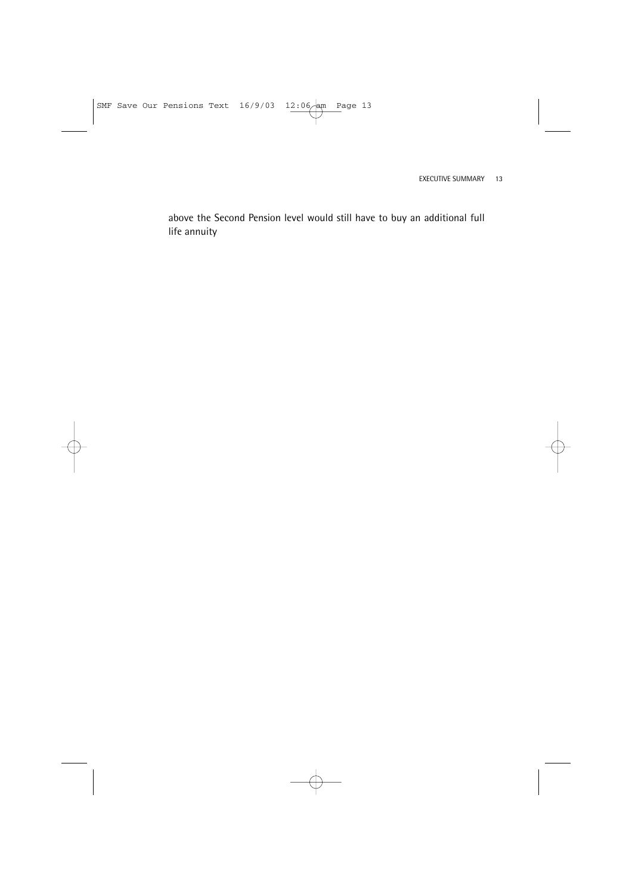above the Second Pension level would still have to buy an additional full life annuity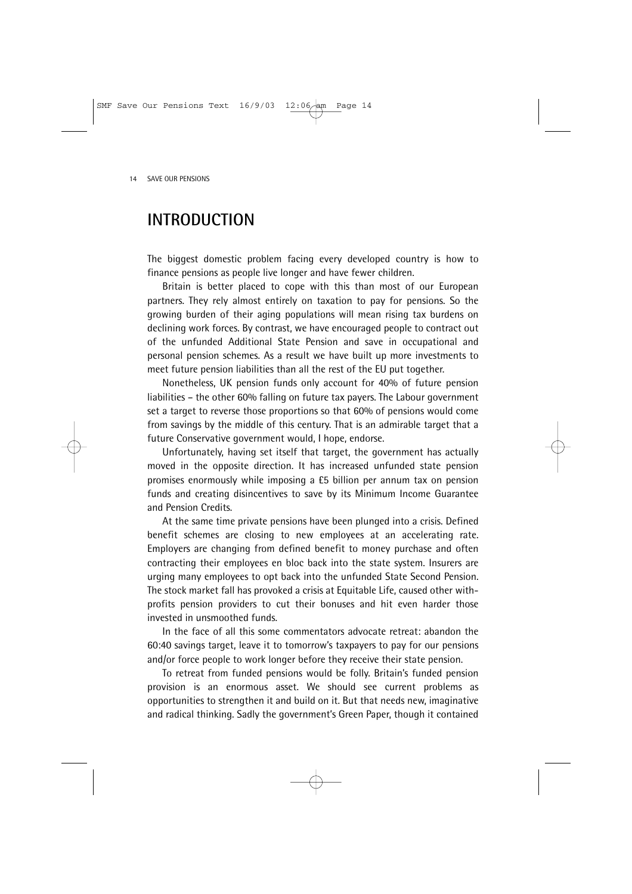## **INTRODUCTION**

The biggest domestic problem facing every developed country is how to finance pensions as people live longer and have fewer children.

Britain is better placed to cope with this than most of our European partners. They rely almost entirely on taxation to pay for pensions. So the growing burden of their aging populations will mean rising tax burdens on declining work forces. By contrast, we have encouraged people to contract out of the unfunded Additional State Pension and save in occupational and personal pension schemes. As a result we have built up more investments to meet future pension liabilities than all the rest of the EU put together.

Nonetheless, UK pension funds only account for 40% of future pension liabilities – the other 60% falling on future tax payers. The Labour government set a target to reverse those proportions so that 60% of pensions would come from savings by the middle of this century. That is an admirable target that a future Conservative government would, I hope, endorse.

Unfortunately, having set itself that target, the government has actually moved in the opposite direction. It has increased unfunded state pension promises enormously while imposing a £5 billion per annum tax on pension funds and creating disincentives to save by its Minimum Income Guarantee and Pension Credits.

At the same time private pensions have been plunged into a crisis. Defined benefit schemes are closing to new employees at an accelerating rate. Employers are changing from defined benefit to money purchase and often contracting their employees en bloc back into the state system. Insurers are urging many employees to opt back into the unfunded State Second Pension. The stock market fall has provoked a crisis at Equitable Life, caused other withprofits pension providers to cut their bonuses and hit even harder those invested in unsmoothed funds.

In the face of all this some commentators advocate retreat: abandon the 60:40 savings target, leave it to tomorrow's taxpayers to pay for our pensions and/or force people to work longer before they receive their state pension.

To retreat from funded pensions would be folly. Britain's funded pension provision is an enormous asset. We should see current problems as opportunities to strengthen it and build on it. But that needs new, imaginative and radical thinking. Sadly the government's Green Paper, though it contained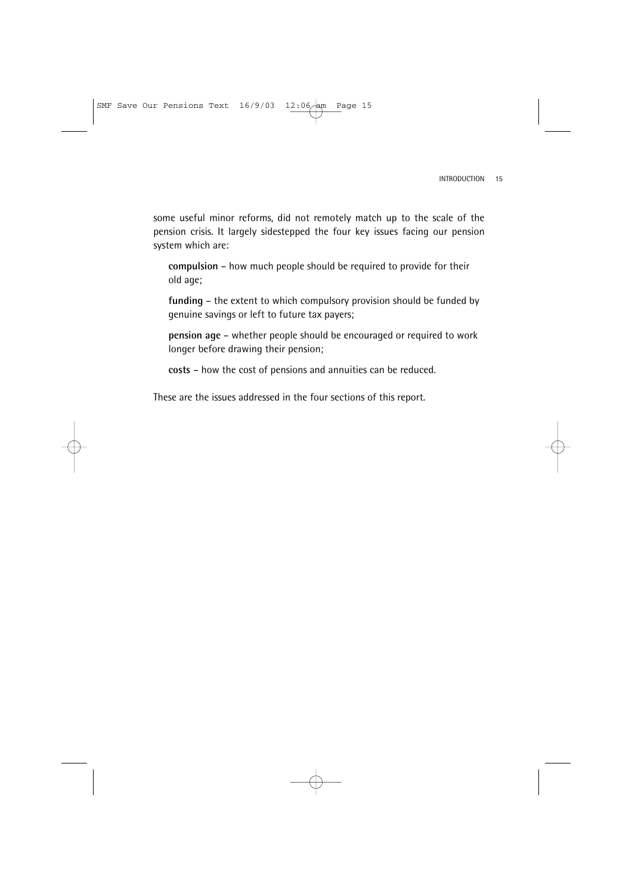some useful minor reforms, did not remotely match up to the scale of the pension crisis. It largely sidestepped the four key issues facing our pension system which are:

**compulsion** – how much people should be required to provide for their old age;

**funding** – the extent to which compulsory provision should be funded by genuine savings or left to future tax payers;

**pension age** – whether people should be encouraged or required to work longer before drawing their pension;

**costs** – how the cost of pensions and annuities can be reduced.

These are the issues addressed in the four sections of this report.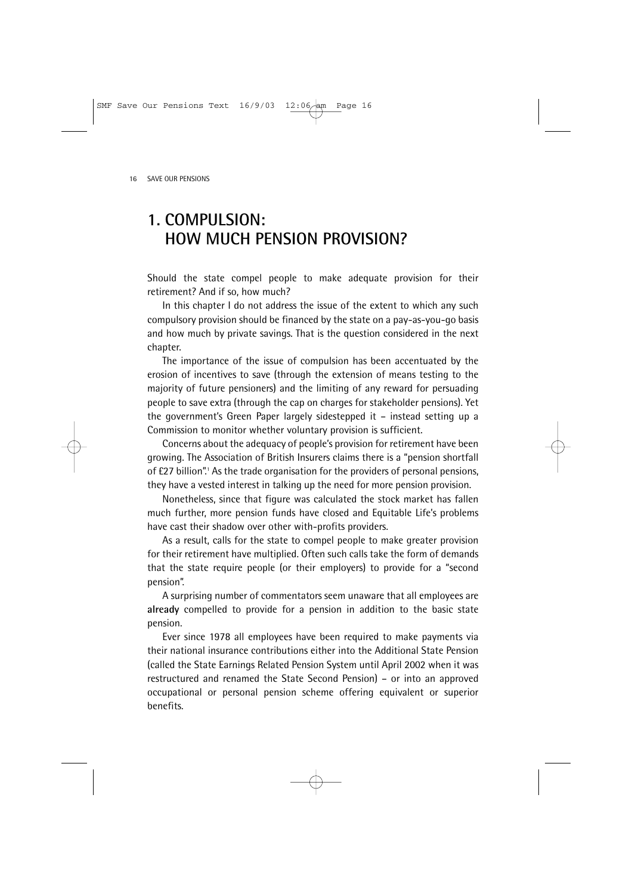# **1. COMPULSION: HOW MUCH PENSION PROVISION?**

Should the state compel people to make adequate provision for their retirement? And if so, how much?

In this chapter I do not address the issue of the extent to which any such compulsory provision should be financed by the state on a pay-as-you-go basis and how much by private savings. That is the question considered in the next chapter.

The importance of the issue of compulsion has been accentuated by the erosion of incentives to save (through the extension of means testing to the majority of future pensioners) and the limiting of any reward for persuading people to save extra (through the cap on charges for stakeholder pensions). Yet the government's Green Paper largely sidestepped it – instead setting up a Commission to monitor whether voluntary provision is sufficient.

Concerns about the adequacy of people's provision for retirement have been growing. The Association of British Insurers claims there is a "pension shortfall of £27 billion".<sup>1</sup> As the trade organisation for the providers of personal pensions, they have a vested interest in talking up the need for more pension provision.

Nonetheless, since that figure was calculated the stock market has fallen much further, more pension funds have closed and Equitable Life's problems have cast their shadow over other with-profits providers.

As a result, calls for the state to compel people to make greater provision for their retirement have multiplied. Often such calls take the form of demands that the state require people (or their employers) to provide for a "second pension".

A surprising number of commentators seem unaware that all employees are **already** compelled to provide for a pension in addition to the basic state pension.

Ever since 1978 all employees have been required to make payments via their national insurance contributions either into the Additional State Pension (called the State Earnings Related Pension System until April 2002 when it was restructured and renamed the State Second Pension) – or into an approved occupational or personal pension scheme offering equivalent or superior benefits.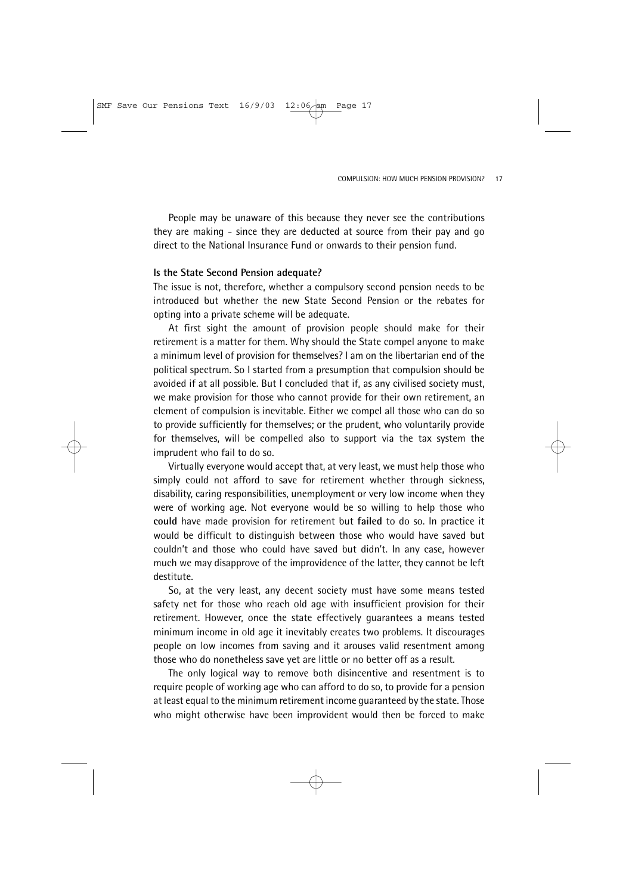People may be unaware of this because they never see the contributions they are making - since they are deducted at source from their pay and go direct to the National Insurance Fund or onwards to their pension fund.

#### **Is the State Second Pension adequate?**

The issue is not, therefore, whether a compulsory second pension needs to be introduced but whether the new State Second Pension or the rebates for opting into a private scheme will be adequate.

At first sight the amount of provision people should make for their retirement is a matter for them. Why should the State compel anyone to make a minimum level of provision for themselves? I am on the libertarian end of the political spectrum. So I started from a presumption that compulsion should be avoided if at all possible. But I concluded that if, as any civilised society must, we make provision for those who cannot provide for their own retirement, an element of compulsion is inevitable. Either we compel all those who can do so to provide sufficiently for themselves; or the prudent, who voluntarily provide for themselves, will be compelled also to support via the tax system the imprudent who fail to do so.

Virtually everyone would accept that, at very least, we must help those who simply could not afford to save for retirement whether through sickness, disability, caring responsibilities, unemployment or very low income when they were of working age. Not everyone would be so willing to help those who **could** have made provision for retirement but **failed** to do so. In practice it would be difficult to distinguish between those who would have saved but couldn't and those who could have saved but didn't. In any case, however much we may disapprove of the improvidence of the latter, they cannot be left destitute.

So, at the very least, any decent society must have some means tested safety net for those who reach old age with insufficient provision for their retirement. However, once the state effectively guarantees a means tested minimum income in old age it inevitably creates two problems. It discourages people on low incomes from saving and it arouses valid resentment among those who do nonetheless save yet are little or no better off as a result.

The only logical way to remove both disincentive and resentment is to require people of working age who can afford to do so, to provide for a pension at least equal to the minimum retirement income guaranteed by the state. Those who might otherwise have been improvident would then be forced to make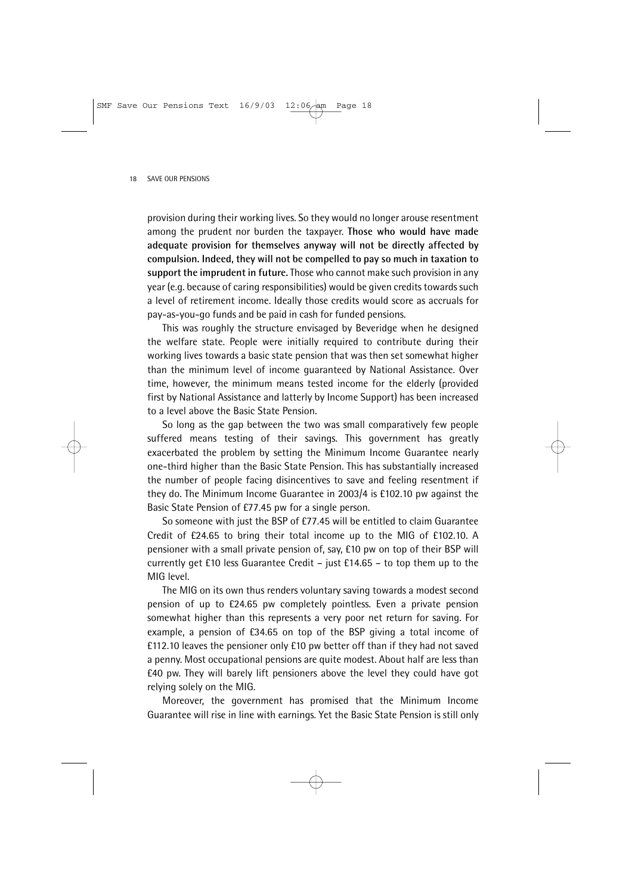provision during their working lives. So they would no longer arouse resentment among the prudent nor burden the taxpayer. **Those who would have made adequate provision for themselves anyway will not be directly affected by compulsion. Indeed, they will not be compelled to pay so much in taxation to support the imprudent in future.** Those who cannot make such provision in any year (e.g. because of caring responsibilities) would be given credits towards such a level of retirement income. Ideally those credits would score as accruals for pay-as-you-go funds and be paid in cash for funded pensions.

This was roughly the structure envisaged by Beveridge when he designed the welfare state. People were initially required to contribute during their working lives towards a basic state pension that was then set somewhat higher than the minimum level of income guaranteed by National Assistance. Over time, however, the minimum means tested income for the elderly (provided first by National Assistance and latterly by Income Support) has been increased to a level above the Basic State Pension.

So long as the gap between the two was small comparatively few people suffered means testing of their savings. This government has greatly exacerbated the problem by setting the Minimum Income Guarantee nearly one-third higher than the Basic State Pension. This has substantially increased the number of people facing disincentives to save and feeling resentment if they do. The Minimum Income Guarantee in 2003/4 is £102.10 pw against the Basic State Pension of £77.45 pw for a single person.

So someone with just the BSP of £77.45 will be entitled to claim Guarantee Credit of £24.65 to bring their total income up to the MIG of £102.10. A pensioner with a small private pension of, say, £10 pw on top of their BSP will currently get £10 less Guarantee Credit – just £14.65 – to top them up to the MIG level.

The MIG on its own thus renders voluntary saving towards a modest second pension of up to £24.65 pw completely pointless. Even a private pension somewhat higher than this represents a very poor net return for saving. For example, a pension of £34.65 on top of the BSP giving a total income of £112.10 leaves the pensioner only £10 pw better off than if they had not saved a penny. Most occupational pensions are quite modest. About half are less than £40 pw. They will barely lift pensioners above the level they could have got relying solely on the MIG.

Moreover, the government has promised that the Minimum Income Guarantee will rise in line with earnings. Yet the Basic State Pension is still only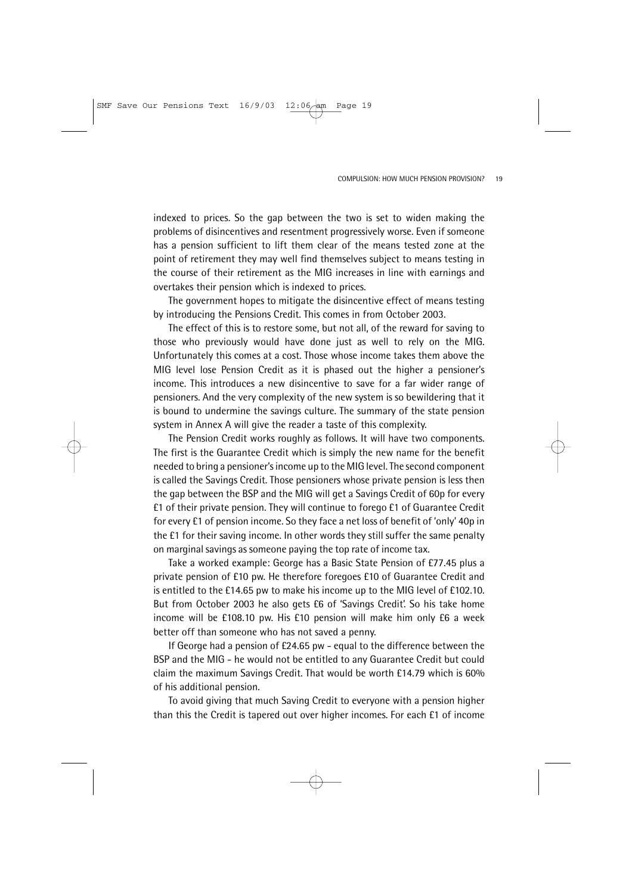indexed to prices. So the gap between the two is set to widen making the problems of disincentives and resentment progressively worse. Even if someone has a pension sufficient to lift them clear of the means tested zone at the point of retirement they may well find themselves subject to means testing in the course of their retirement as the MIG increases in line with earnings and overtakes their pension which is indexed to prices.

The government hopes to mitigate the disincentive effect of means testing by introducing the Pensions Credit. This comes in from October 2003.

The effect of this is to restore some, but not all, of the reward for saving to those who previously would have done just as well to rely on the MIG. Unfortunately this comes at a cost. Those whose income takes them above the MIG level lose Pension Credit as it is phased out the higher a pensioner's income. This introduces a new disincentive to save for a far wider range of pensioners. And the very complexity of the new system is so bewildering that it is bound to undermine the savings culture. The summary of the state pension system in Annex A will give the reader a taste of this complexity.

The Pension Credit works roughly as follows. It will have two components. The first is the Guarantee Credit which is simply the new name for the benefit needed to bring a pensioner's income up to the MIG level. The second component is called the Savings Credit. Those pensioners whose private pension is less then the gap between the BSP and the MIG will get a Savings Credit of 60p for every £1 of their private pension. They will continue to forego £1 of Guarantee Credit for every £1 of pension income. So they face a net loss of benefit of 'only' 40p in the £1 for their saving income. In other words they still suffer the same penalty on marginal savings as someone paying the top rate of income tax.

Take a worked example: George has a Basic State Pension of £77.45 plus a private pension of £10 pw. He therefore foregoes £10 of Guarantee Credit and is entitled to the £14.65 pw to make his income up to the MIG level of £102.10. But from October 2003 he also gets £6 of 'Savings Credit'. So his take home income will be £108.10 pw. His £10 pension will make him only £6 a week better off than someone who has not saved a penny.

If George had a pension of £24.65 pw - equal to the difference between the BSP and the MIG - he would not be entitled to any Guarantee Credit but could claim the maximum Savings Credit. That would be worth £14.79 which is 60% of his additional pension.

To avoid giving that much Saving Credit to everyone with a pension higher than this the Credit is tapered out over higher incomes. For each £1 of income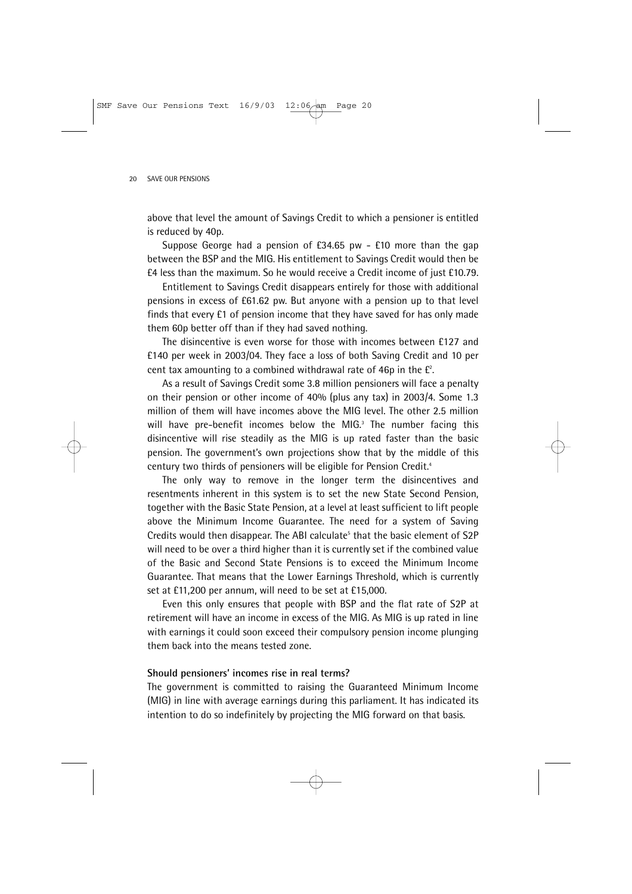above that level the amount of Savings Credit to which a pensioner is entitled is reduced by 40p.

Suppose George had a pension of £34.65 pw - £10 more than the gap between the BSP and the MIG. His entitlement to Savings Credit would then be £4 less than the maximum. So he would receive a Credit income of just £10.79.

Entitlement to Savings Credit disappears entirely for those with additional pensions in excess of £61.62 pw. But anyone with a pension up to that level finds that every £1 of pension income that they have saved for has only made them 60p better off than if they had saved nothing.

The disincentive is even worse for those with incomes between £127 and £140 per week in 2003/04. They face a loss of both Saving Credit and 10 per cent tax amounting to a combined withdrawal rate of 46p in the  $\mathsf{f}^2$ .

As a result of Savings Credit some 3.8 million pensioners will face a penalty on their pension or other income of 40% (plus any tax) in 2003/4. Some 1.3 million of them will have incomes above the MIG level. The other 2.5 million will have pre-benefit incomes below the MIG.<sup>3</sup> The number facing this disincentive will rise steadily as the MIG is up rated faster than the basic pension. The government's own projections show that by the middle of this century two thirds of pensioners will be eligible for Pension Credit.<sup>4</sup>

The only way to remove in the longer term the disincentives and resentments inherent in this system is to set the new State Second Pension, together with the Basic State Pension, at a level at least sufficient to lift people above the Minimum Income Guarantee. The need for a system of Saving Credits would then disappear. The ABI calculate<sup>5</sup> that the basic element of S2P will need to be over a third higher than it is currently set if the combined value of the Basic and Second State Pensions is to exceed the Minimum Income Guarantee. That means that the Lower Earnings Threshold, which is currently set at £11,200 per annum, will need to be set at £15,000.

Even this only ensures that people with BSP and the flat rate of S2P at retirement will have an income in excess of the MIG. As MIG is up rated in line with earnings it could soon exceed their compulsory pension income plunging them back into the means tested zone.

### **Should pensioners' incomes rise in real terms?**

The government is committed to raising the Guaranteed Minimum Income (MIG) in line with average earnings during this parliament. It has indicated its intention to do so indefinitely by projecting the MIG forward on that basis.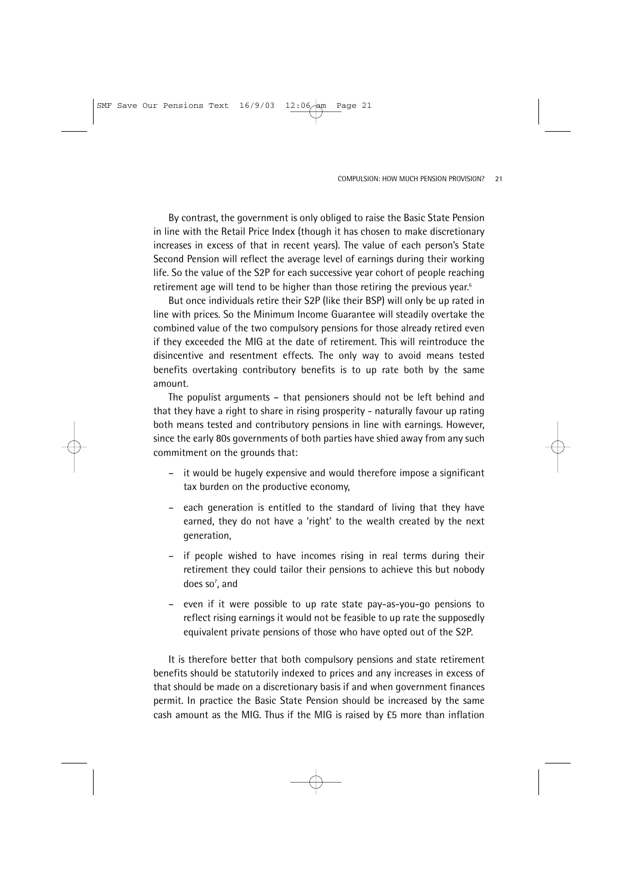By contrast, the government is only obliged to raise the Basic State Pension in line with the Retail Price Index (though it has chosen to make discretionary increases in excess of that in recent years). The value of each person's State Second Pension will reflect the average level of earnings during their working life. So the value of the S2P for each successive year cohort of people reaching retirement age will tend to be higher than those retiring the previous year.<sup>6</sup>

But once individuals retire their S2P (like their BSP) will only be up rated in line with prices. So the Minimum Income Guarantee will steadily overtake the combined value of the two compulsory pensions for those already retired even if they exceeded the MIG at the date of retirement. This will reintroduce the disincentive and resentment effects. The only way to avoid means tested benefits overtaking contributory benefits is to up rate both by the same amount.

The populist arguments – that pensioners should not be left behind and that they have a right to share in rising prosperity - naturally favour up rating both means tested and contributory pensions in line with earnings. However, since the early 80s governments of both parties have shied away from any such commitment on the grounds that:

- it would be hugely expensive and would therefore impose a significant tax burden on the productive economy,
- each generation is entitled to the standard of living that they have earned, they do not have a 'right' to the wealth created by the next generation,
- if people wished to have incomes rising in real terms during their retirement they could tailor their pensions to achieve this but nobody does so<sup>7</sup>, and
- even if it were possible to up rate state pay-as-you-go pensions to reflect rising earnings it would not be feasible to up rate the supposedly equivalent private pensions of those who have opted out of the S2P.

It is therefore better that both compulsory pensions and state retirement benefits should be statutorily indexed to prices and any increases in excess of that should be made on a discretionary basis if and when government finances permit. In practice the Basic State Pension should be increased by the same cash amount as the MIG. Thus if the MIG is raised by £5 more than inflation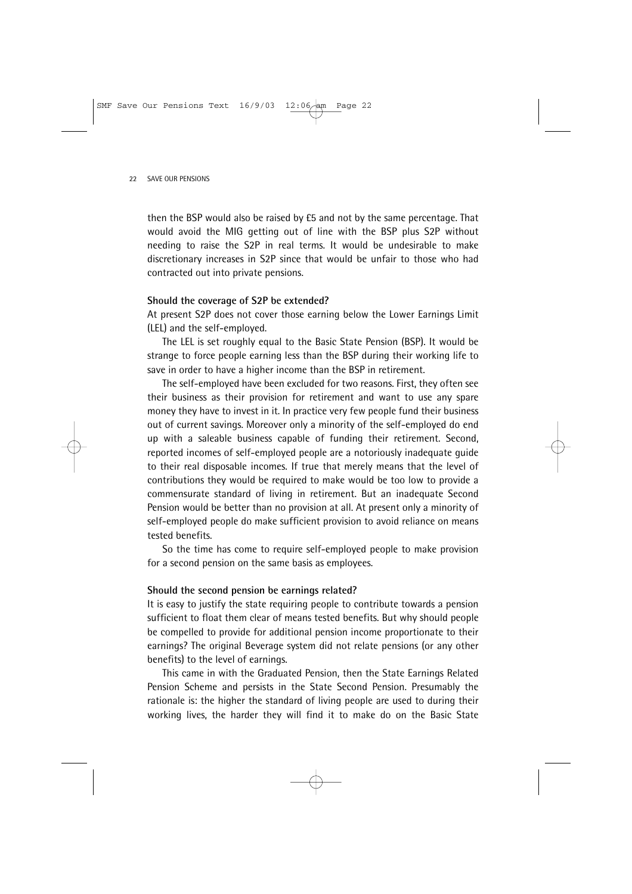then the BSP would also be raised by £5 and not by the same percentage. That would avoid the MIG getting out of line with the BSP plus S2P without needing to raise the S2P in real terms. It would be undesirable to make discretionary increases in S2P since that would be unfair to those who had contracted out into private pensions.

#### **Should the coverage of S2P be extended?**

At present S2P does not cover those earning below the Lower Earnings Limit (LEL) and the self-employed.

The LEL is set roughly equal to the Basic State Pension (BSP). It would be strange to force people earning less than the BSP during their working life to save in order to have a higher income than the BSP in retirement.

The self-employed have been excluded for two reasons. First, they often see their business as their provision for retirement and want to use any spare money they have to invest in it. In practice very few people fund their business out of current savings. Moreover only a minority of the self-employed do end up with a saleable business capable of funding their retirement. Second, reported incomes of self-employed people are a notoriously inadequate guide to their real disposable incomes. If true that merely means that the level of contributions they would be required to make would be too low to provide a commensurate standard of living in retirement. But an inadequate Second Pension would be better than no provision at all. At present only a minority of self-employed people do make sufficient provision to avoid reliance on means tested benefits.

So the time has come to require self-employed people to make provision for a second pension on the same basis as employees.

### **Should the second pension be earnings related?**

It is easy to justify the state requiring people to contribute towards a pension sufficient to float them clear of means tested benefits. But why should people be compelled to provide for additional pension income proportionate to their earnings? The original Beverage system did not relate pensions (or any other benefits) to the level of earnings.

This came in with the Graduated Pension, then the State Earnings Related Pension Scheme and persists in the State Second Pension. Presumably the rationale is: the higher the standard of living people are used to during their working lives, the harder they will find it to make do on the Basic State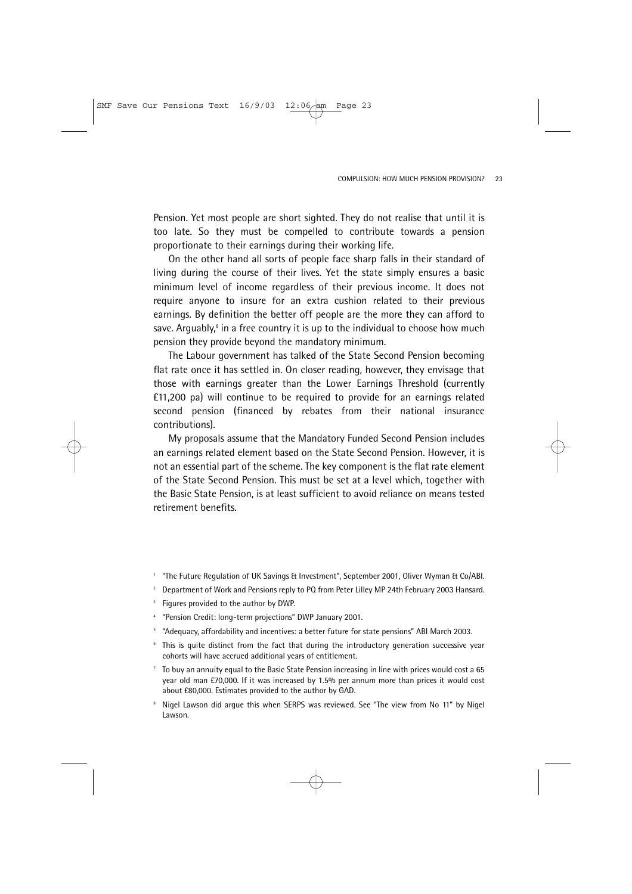Pension. Yet most people are short sighted. They do not realise that until it is too late. So they must be compelled to contribute towards a pension proportionate to their earnings during their working life.

On the other hand all sorts of people face sharp falls in their standard of living during the course of their lives. Yet the state simply ensures a basic minimum level of income regardless of their previous income. It does not require anyone to insure for an extra cushion related to their previous earnings. By definition the better off people are the more they can afford to save. Arguably, $\delta$  in a free country it is up to the individual to choose how much pension they provide beyond the mandatory minimum.

The Labour government has talked of the State Second Pension becoming flat rate once it has settled in. On closer reading, however, they envisage that those with earnings greater than the Lower Earnings Threshold (currently £11,200 pa) will continue to be required to provide for an earnings related second pension (financed by rebates from their national insurance contributions).

My proposals assume that the Mandatory Funded Second Pension includes an earnings related element based on the State Second Pension. However, it is not an essential part of the scheme. The key component is the flat rate element of the State Second Pension. This must be set at a level which, together with the Basic State Pension, is at least sufficient to avoid reliance on means tested retirement benefits.

- <sup>1</sup> "The Future Regulation of UK Savings & Investment", September 2001, Oliver Wyman & Co/ABI.
- <sup>2</sup> Department of Work and Pensions reply to PQ from Peter Lilley MP 24th February 2003 Hansard.
- <sup>3</sup> Figures provided to the author by DWP.
- <sup>4</sup> "Pension Credit: long-term projections" DWP January 2001.
- <sup>5</sup> "Adequacy, affordability and incentives: a better future for state pensions" ABI March 2003.
- <sup>6</sup> This is quite distinct from the fact that during the introductory generation successive year cohorts will have accrued additional years of entitlement.
- <sup>7</sup> To buy an annuity equal to the Basic State Pension increasing in line with prices would cost a 65 year old man £70,000. If it was increased by 1.5% per annum more than prices it would cost about £80,000. Estimates provided to the author by GAD.
- <sup>8</sup> Nigel Lawson did argue this when SERPS was reviewed. See "The view from No 11" by Nigel Lawson.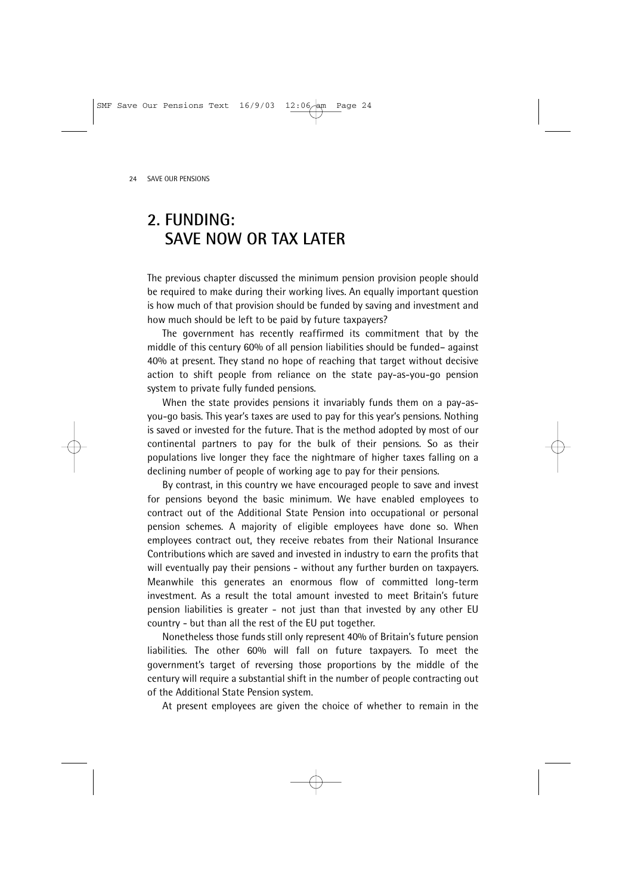# **2. FUNDING: SAVE NOW OR TAX LATER**

The previous chapter discussed the minimum pension provision people should be required to make during their working lives. An equally important question is how much of that provision should be funded by saving and investment and how much should be left to be paid by future taxpayers?

The government has recently reaffirmed its commitment that by the middle of this century 60% of all pension liabilities should be funded– against 40% at present. They stand no hope of reaching that target without decisive action to shift people from reliance on the state pay-as-you-go pension system to private fully funded pensions.

When the state provides pensions it invariably funds them on a pay-asyou-go basis. This year's taxes are used to pay for this year's pensions. Nothing is saved or invested for the future. That is the method adopted by most of our continental partners to pay for the bulk of their pensions. So as their populations live longer they face the nightmare of higher taxes falling on a declining number of people of working age to pay for their pensions.

By contrast, in this country we have encouraged people to save and invest for pensions beyond the basic minimum. We have enabled employees to contract out of the Additional State Pension into occupational or personal pension schemes. A majority of eligible employees have done so. When employees contract out, they receive rebates from their National Insurance Contributions which are saved and invested in industry to earn the profits that will eventually pay their pensions - without any further burden on taxpayers. Meanwhile this generates an enormous flow of committed long-term investment. As a result the total amount invested to meet Britain's future pension liabilities is greater - not just than that invested by any other EU country - but than all the rest of the EU put together.

Nonetheless those funds still only represent 40% of Britain's future pension liabilities. The other 60% will fall on future taxpayers. To meet the government's target of reversing those proportions by the middle of the century will require a substantial shift in the number of people contracting out of the Additional State Pension system.

At present employees are given the choice of whether to remain in the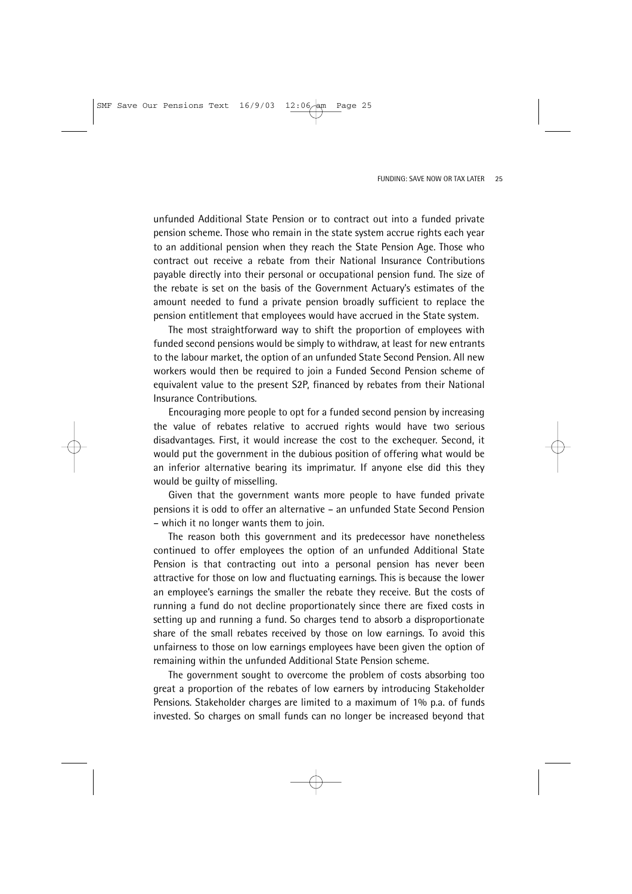unfunded Additional State Pension or to contract out into a funded private pension scheme. Those who remain in the state system accrue rights each year to an additional pension when they reach the State Pension Age. Those who contract out receive a rebate from their National Insurance Contributions payable directly into their personal or occupational pension fund. The size of the rebate is set on the basis of the Government Actuary's estimates of the amount needed to fund a private pension broadly sufficient to replace the pension entitlement that employees would have accrued in the State system.

The most straightforward way to shift the proportion of employees with funded second pensions would be simply to withdraw, at least for new entrants to the labour market, the option of an unfunded State Second Pension. All new workers would then be required to join a Funded Second Pension scheme of equivalent value to the present S2P, financed by rebates from their National Insurance Contributions.

Encouraging more people to opt for a funded second pension by increasing the value of rebates relative to accrued rights would have two serious disadvantages. First, it would increase the cost to the exchequer. Second, it would put the government in the dubious position of offering what would be an inferior alternative bearing its imprimatur. If anyone else did this they would be guilty of misselling.

Given that the government wants more people to have funded private pensions it is odd to offer an alternative – an unfunded State Second Pension – which it no longer wants them to join.

The reason both this government and its predecessor have nonetheless continued to offer employees the option of an unfunded Additional State Pension is that contracting out into a personal pension has never been attractive for those on low and fluctuating earnings. This is because the lower an employee's earnings the smaller the rebate they receive. But the costs of running a fund do not decline proportionately since there are fixed costs in setting up and running a fund. So charges tend to absorb a disproportionate share of the small rebates received by those on low earnings. To avoid this unfairness to those on low earnings employees have been given the option of remaining within the unfunded Additional State Pension scheme.

The government sought to overcome the problem of costs absorbing too great a proportion of the rebates of low earners by introducing Stakeholder Pensions. Stakeholder charges are limited to a maximum of 1% p.a. of funds invested. So charges on small funds can no longer be increased beyond that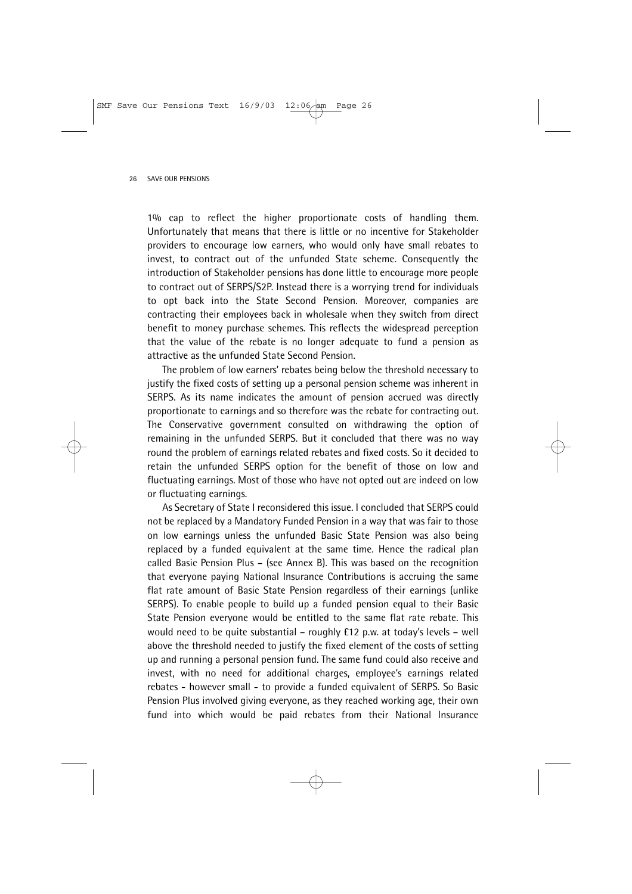1% cap to reflect the higher proportionate costs of handling them. Unfortunately that means that there is little or no incentive for Stakeholder providers to encourage low earners, who would only have small rebates to invest, to contract out of the unfunded State scheme. Consequently the introduction of Stakeholder pensions has done little to encourage more people to contract out of SERPS/S2P. Instead there is a worrying trend for individuals to opt back into the State Second Pension. Moreover, companies are contracting their employees back in wholesale when they switch from direct benefit to money purchase schemes. This reflects the widespread perception that the value of the rebate is no longer adequate to fund a pension as attractive as the unfunded State Second Pension.

The problem of low earners' rebates being below the threshold necessary to justify the fixed costs of setting up a personal pension scheme was inherent in SERPS. As its name indicates the amount of pension accrued was directly proportionate to earnings and so therefore was the rebate for contracting out. The Conservative government consulted on withdrawing the option of remaining in the unfunded SERPS. But it concluded that there was no way round the problem of earnings related rebates and fixed costs. So it decided to retain the unfunded SERPS option for the benefit of those on low and fluctuating earnings. Most of those who have not opted out are indeed on low or fluctuating earnings.

As Secretary of State I reconsidered this issue. I concluded that SERPS could not be replaced by a Mandatory Funded Pension in a way that was fair to those on low earnings unless the unfunded Basic State Pension was also being replaced by a funded equivalent at the same time. Hence the radical plan called Basic Pension Plus – (see Annex B). This was based on the recognition that everyone paying National Insurance Contributions is accruing the same flat rate amount of Basic State Pension regardless of their earnings (unlike SERPS). To enable people to build up a funded pension equal to their Basic State Pension everyone would be entitled to the same flat rate rebate. This would need to be quite substantial – roughly £12 p.w. at today's levels – well above the threshold needed to justify the fixed element of the costs of setting up and running a personal pension fund. The same fund could also receive and invest, with no need for additional charges, employee's earnings related rebates - however small - to provide a funded equivalent of SERPS. So Basic Pension Plus involved giving everyone, as they reached working age, their own fund into which would be paid rebates from their National Insurance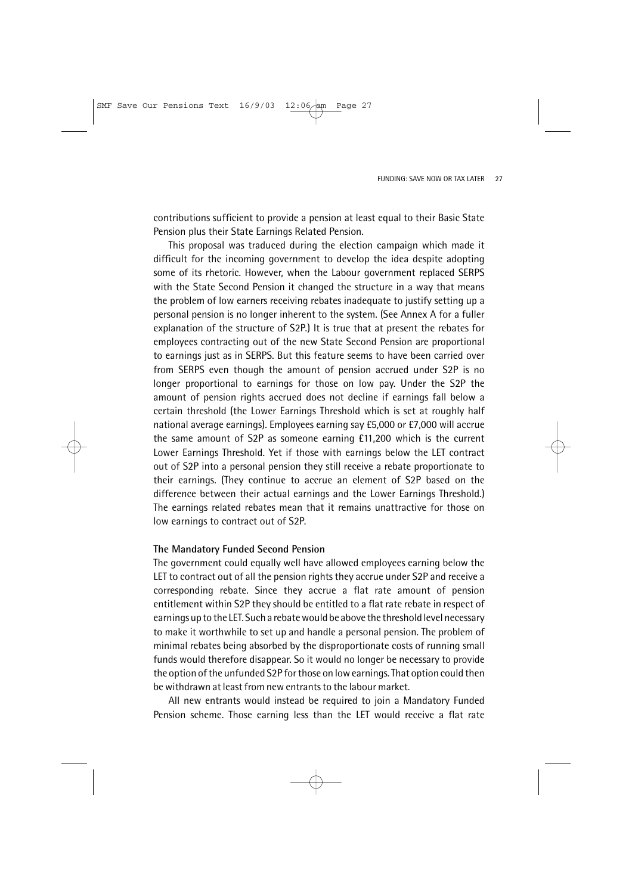contributions sufficient to provide a pension at least equal to their Basic State Pension plus their State Earnings Related Pension.

This proposal was traduced during the election campaign which made it difficult for the incoming government to develop the idea despite adopting some of its rhetoric. However, when the Labour government replaced SERPS with the State Second Pension it changed the structure in a way that means the problem of low earners receiving rebates inadequate to justify setting up a personal pension is no longer inherent to the system. (See Annex A for a fuller explanation of the structure of S2P.) It is true that at present the rebates for employees contracting out of the new State Second Pension are proportional to earnings just as in SERPS. But this feature seems to have been carried over from SERPS even though the amount of pension accrued under S2P is no longer proportional to earnings for those on low pay. Under the S2P the amount of pension rights accrued does not decline if earnings fall below a certain threshold (the Lower Earnings Threshold which is set at roughly half national average earnings). Employees earning say £5,000 or £7,000 will accrue the same amount of S2P as someone earning £11,200 which is the current Lower Earnings Threshold. Yet if those with earnings below the LET contract out of S2P into a personal pension they still receive a rebate proportionate to their earnings. (They continue to accrue an element of S2P based on the difference between their actual earnings and the Lower Earnings Threshold.) The earnings related rebates mean that it remains unattractive for those on low earnings to contract out of S2P.

### **The Mandatory Funded Second Pension**

The government could equally well have allowed employees earning below the LET to contract out of all the pension rights they accrue under S2P and receive a corresponding rebate. Since they accrue a flat rate amount of pension entitlement within S2P they should be entitled to a flat rate rebate in respect of earnings up to the LET. Such a rebate would be above the threshold level necessary to make it worthwhile to set up and handle a personal pension. The problem of minimal rebates being absorbed by the disproportionate costs of running small funds would therefore disappear. So it would no longer be necessary to provide the option of the unfunded S2P for those on low earnings. That option could then be withdrawn at least from new entrants to the labour market.

All new entrants would instead be required to join a Mandatory Funded Pension scheme. Those earning less than the LET would receive a flat rate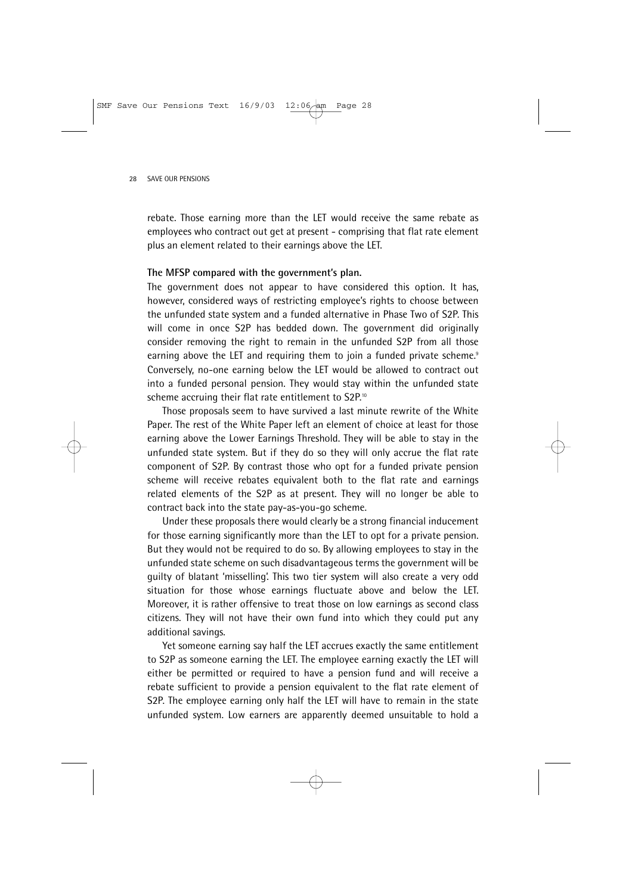rebate. Those earning more than the LET would receive the same rebate as employees who contract out get at present - comprising that flat rate element plus an element related to their earnings above the LET.

### **The MFSP compared with the government's plan.**

The government does not appear to have considered this option. It has, however, considered ways of restricting employee's rights to choose between the unfunded state system and a funded alternative in Phase Two of S2P. This will come in once S2P has bedded down. The government did originally consider removing the right to remain in the unfunded S2P from all those earning above the LET and requiring them to join a funded private scheme.<sup>9</sup> Conversely, no-one earning below the LET would be allowed to contract out into a funded personal pension. They would stay within the unfunded state scheme accruing their flat rate entitlement to S2P.<sup>10</sup>

Those proposals seem to have survived a last minute rewrite of the White Paper. The rest of the White Paper left an element of choice at least for those earning above the Lower Earnings Threshold. They will be able to stay in the unfunded state system. But if they do so they will only accrue the flat rate component of S2P. By contrast those who opt for a funded private pension scheme will receive rebates equivalent both to the flat rate and earnings related elements of the S2P as at present. They will no longer be able to contract back into the state pay-as-you-go scheme.

Under these proposals there would clearly be a strong financial inducement for those earning significantly more than the LET to opt for a private pension. But they would not be required to do so. By allowing employees to stay in the unfunded state scheme on such disadvantageous terms the government will be guilty of blatant 'misselling'. This two tier system will also create a very odd situation for those whose earnings fluctuate above and below the LET. Moreover, it is rather offensive to treat those on low earnings as second class citizens. They will not have their own fund into which they could put any additional savings.

Yet someone earning say half the LET accrues exactly the same entitlement to S2P as someone earning the LET. The employee earning exactly the LET will either be permitted or required to have a pension fund and will receive a rebate sufficient to provide a pension equivalent to the flat rate element of S2P. The employee earning only half the LET will have to remain in the state unfunded system. Low earners are apparently deemed unsuitable to hold a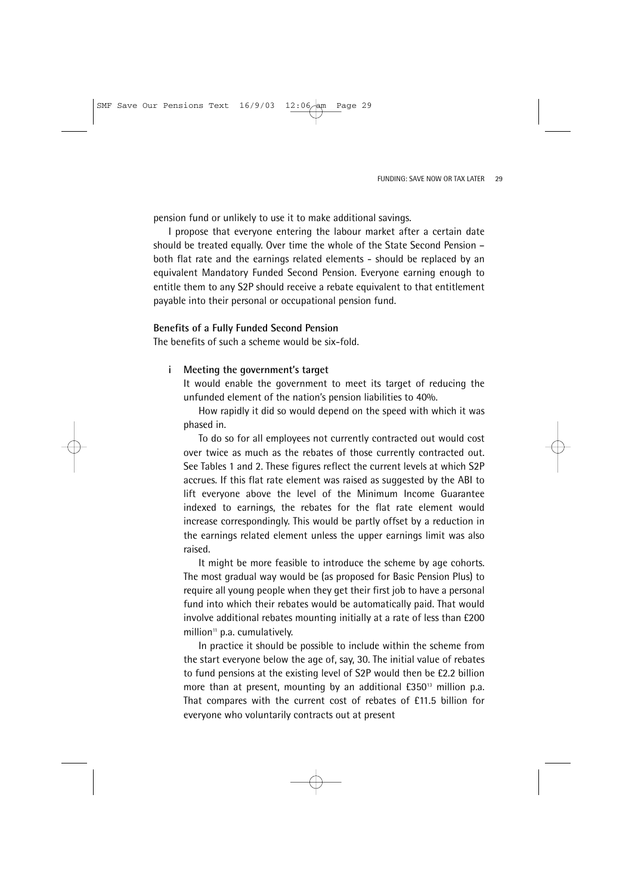pension fund or unlikely to use it to make additional savings.

I propose that everyone entering the labour market after a certain date should be treated equally. Over time the whole of the State Second Pension – both flat rate and the earnings related elements - should be replaced by an equivalent Mandatory Funded Second Pension. Everyone earning enough to entitle them to any S2P should receive a rebate equivalent to that entitlement payable into their personal or occupational pension fund.

### **Benefits of a Fully Funded Second Pension**

The benefits of such a scheme would be six-fold.

### **i Meeting the government's target**

It would enable the government to meet its target of reducing the unfunded element of the nation's pension liabilities to 40%.

How rapidly it did so would depend on the speed with which it was phased in.

To do so for all employees not currently contracted out would cost over twice as much as the rebates of those currently contracted out. See Tables 1 and 2. These figures reflect the current levels at which S2P accrues. If this flat rate element was raised as suggested by the ABI to lift everyone above the level of the Minimum Income Guarantee indexed to earnings, the rebates for the flat rate element would increase correspondingly. This would be partly offset by a reduction in the earnings related element unless the upper earnings limit was also raised.

It might be more feasible to introduce the scheme by age cohorts. The most gradual way would be (as proposed for Basic Pension Plus) to require all young people when they get their first job to have a personal fund into which their rebates would be automatically paid. That would involve additional rebates mounting initially at a rate of less than £200 million<sup>11</sup> p.a. cumulatively.

In practice it should be possible to include within the scheme from the start everyone below the age of, say, 30. The initial value of rebates to fund pensions at the existing level of S2P would then be £2.2 billion more than at present, mounting by an additional  $E350^3$  million p.a. That compares with the current cost of rebates of £11.5 billion for everyone who voluntarily contracts out at present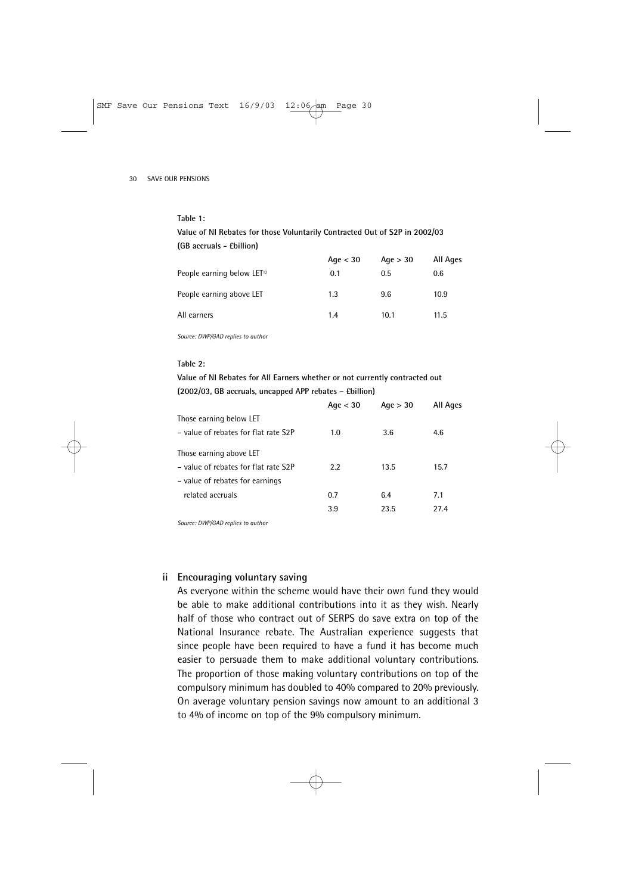#### **Table 1:**

**Value of NI Rebates for those Voluntarily Contracted Out of S2P in 2002/03 (GB accruals - £billion)**

|                                        | Age $<$ 30 | Age $>$ 30 | All Ages |
|----------------------------------------|------------|------------|----------|
| People earning below LET <sup>12</sup> | 0.1        | 0.5        | 0.6      |
| People earning above LET               | 1.3        | 9.6        | 10.9     |
| All earners                            | 1.4        | 10.1       | 11.5     |

*Source: DWP/GAD replies to author*

#### **Table 2:**

**Value of NI Rebates for All Earners whether or not currently contracted out (2002/03, GB accruals, uncapped APP rebates – £billion)**

|                                      | Age $<$ 30 | Aqe > 30 | <b>All Ages</b> |
|--------------------------------------|------------|----------|-----------------|
| Those earning below LET              |            |          |                 |
| - value of rebates for flat rate S2P | 1.0        | 3.6      | 4.6             |
| Those earning above LET              |            |          |                 |
| - value of rebates for flat rate S2P | 2.2        | 13.5     | 15.7            |
| - value of rebates for earnings      |            |          |                 |
| related accruals                     | 0.7        | 6.4      | 7.1             |
|                                      | 3.9        | 23.5     | 27.4            |
|                                      |            |          |                 |

*Source: DWP/GAD replies to author*

### **ii Encouraging voluntary saving**

As everyone within the scheme would have their own fund they would be able to make additional contributions into it as they wish. Nearly half of those who contract out of SERPS do save extra on top of the National Insurance rebate. The Australian experience suggests that since people have been required to have a fund it has become much easier to persuade them to make additional voluntary contributions. The proportion of those making voluntary contributions on top of the compulsory minimum has doubled to 40% compared to 20% previously. On average voluntary pension savings now amount to an additional 3 to 4% of income on top of the 9% compulsory minimum.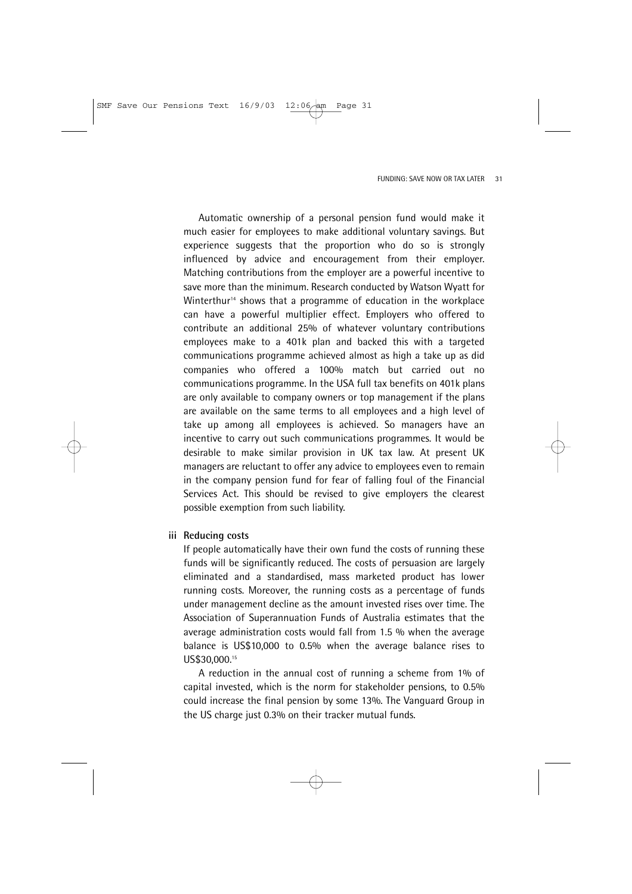Automatic ownership of a personal pension fund would make it much easier for employees to make additional voluntary savings. But experience suggests that the proportion who do so is strongly influenced by advice and encouragement from their employer. Matching contributions from the employer are a powerful incentive to save more than the minimum. Research conducted by Watson Wyatt for Winterthur<sup>14</sup> shows that a programme of education in the workplace can have a powerful multiplier effect. Employers who offered to contribute an additional 25% of whatever voluntary contributions employees make to a 401k plan and backed this with a targeted communications programme achieved almost as high a take up as did companies who offered a 100% match but carried out no communications programme. In the USA full tax benefits on 401k plans are only available to company owners or top management if the plans are available on the same terms to all employees and a high level of take up among all employees is achieved. So managers have an incentive to carry out such communications programmes. It would be desirable to make similar provision in UK tax law. At present UK managers are reluctant to offer any advice to employees even to remain in the company pension fund for fear of falling foul of the Financial Services Act. This should be revised to give employers the clearest possible exemption from such liability.

#### **iii Reducing costs**

If people automatically have their own fund the costs of running these funds will be significantly reduced. The costs of persuasion are largely eliminated and a standardised, mass marketed product has lower running costs. Moreover, the running costs as a percentage of funds under management decline as the amount invested rises over time. The Association of Superannuation Funds of Australia estimates that the average administration costs would fall from 1.5 % when the average balance is US\$10,000 to 0.5% when the average balance rises to US\$30,000.<sup>15</sup>

A reduction in the annual cost of running a scheme from 1% of capital invested, which is the norm for stakeholder pensions, to 0.5% could increase the final pension by some 13%. The Vanguard Group in the US charge just 0.3% on their tracker mutual funds.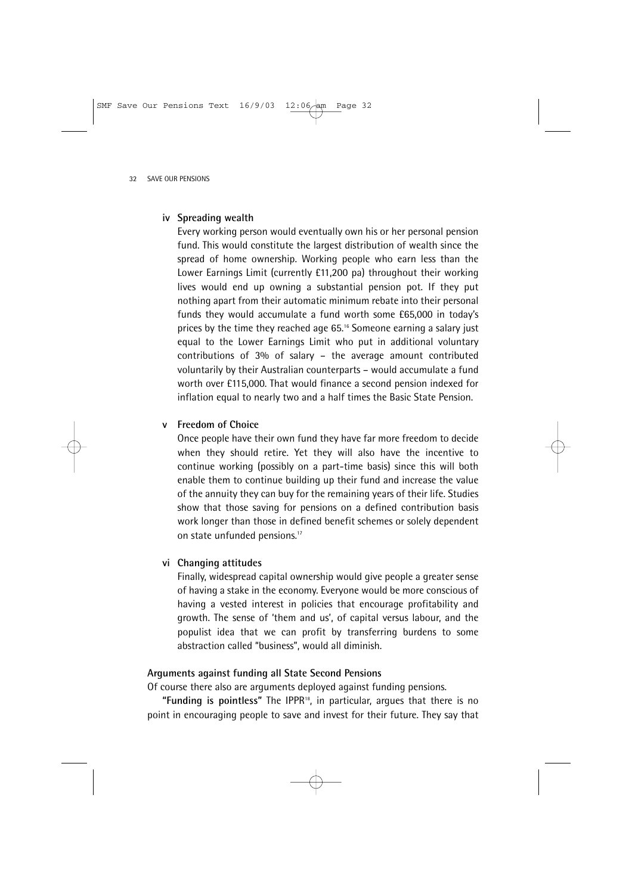### **iv Spreading wealth**

Every working person would eventually own his or her personal pension fund. This would constitute the largest distribution of wealth since the spread of home ownership. Working people who earn less than the Lower Earnings Limit (currently £11,200 pa) throughout their working lives would end up owning a substantial pension pot. If they put nothing apart from their automatic minimum rebate into their personal funds they would accumulate a fund worth some £65,000 in today's prices by the time they reached age 65.16 Someone earning a salary just equal to the Lower Earnings Limit who put in additional voluntary contributions of 3% of salary – the average amount contributed voluntarily by their Australian counterparts – would accumulate a fund worth over £115,000. That would finance a second pension indexed for inflation equal to nearly two and a half times the Basic State Pension.

### **v Freedom of Choice**

Once people have their own fund they have far more freedom to decide when they should retire. Yet they will also have the incentive to continue working (possibly on a part-time basis) since this will both enable them to continue building up their fund and increase the value of the annuity they can buy for the remaining years of their life. Studies show that those saving for pensions on a defined contribution basis work longer than those in defined benefit schemes or solely dependent on state unfunded pensions.<sup>17</sup>

### **vi Changing attitudes**

Finally, widespread capital ownership would give people a greater sense of having a stake in the economy. Everyone would be more conscious of having a vested interest in policies that encourage profitability and growth. The sense of 'them and us', of capital versus labour, and the populist idea that we can profit by transferring burdens to some abstraction called "business", would all diminish.

### **Arguments against funding all State Second Pensions**

Of course there also are arguments deployed against funding pensions.

**"Funding is pointless"** The IPPR18, in particular, argues that there is no point in encouraging people to save and invest for their future. They say that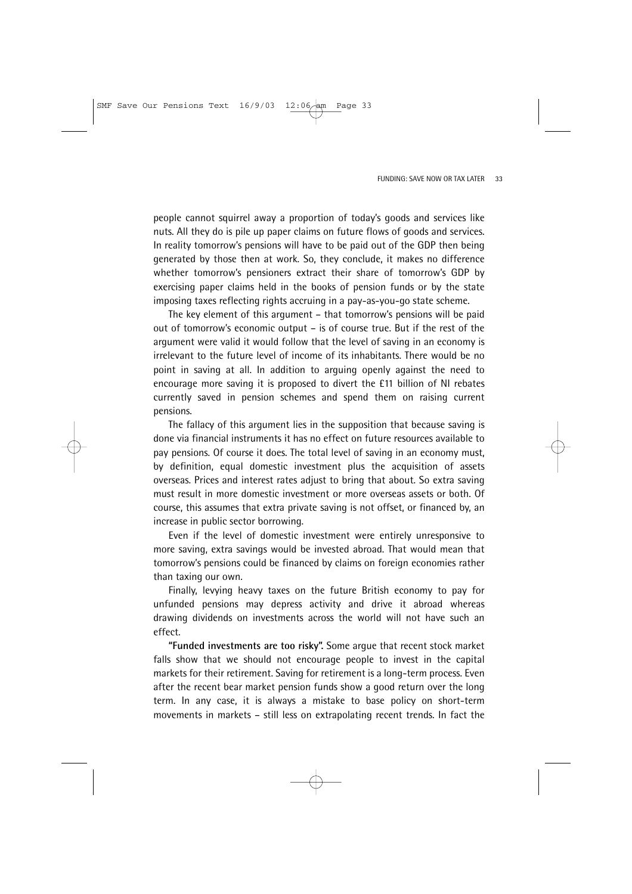people cannot squirrel away a proportion of today's goods and services like nuts. All they do is pile up paper claims on future flows of goods and services. In reality tomorrow's pensions will have to be paid out of the GDP then being generated by those then at work. So, they conclude, it makes no difference whether tomorrow's pensioners extract their share of tomorrow's GDP by exercising paper claims held in the books of pension funds or by the state imposing taxes reflecting rights accruing in a pay-as-you-go state scheme.

The key element of this argument – that tomorrow's pensions will be paid out of tomorrow's economic output – is of course true. But if the rest of the argument were valid it would follow that the level of saving in an economy is irrelevant to the future level of income of its inhabitants. There would be no point in saving at all. In addition to arguing openly against the need to encourage more saving it is proposed to divert the £11 billion of NI rebates currently saved in pension schemes and spend them on raising current pensions.

The fallacy of this argument lies in the supposition that because saving is done via financial instruments it has no effect on future resources available to pay pensions. Of course it does. The total level of saving in an economy must, by definition, equal domestic investment plus the acquisition of assets overseas. Prices and interest rates adjust to bring that about. So extra saving must result in more domestic investment or more overseas assets or both. Of course, this assumes that extra private saving is not offset, or financed by, an increase in public sector borrowing.

Even if the level of domestic investment were entirely unresponsive to more saving, extra savings would be invested abroad. That would mean that tomorrow's pensions could be financed by claims on foreign economies rather than taxing our own.

Finally, levying heavy taxes on the future British economy to pay for unfunded pensions may depress activity and drive it abroad whereas drawing dividends on investments across the world will not have such an effect.

**"Funded investments are too risky".** Some argue that recent stock market falls show that we should not encourage people to invest in the capital markets for their retirement. Saving for retirement is a long-term process. Even after the recent bear market pension funds show a good return over the long term. In any case, it is always a mistake to base policy on short-term movements in markets – still less on extrapolating recent trends. In fact the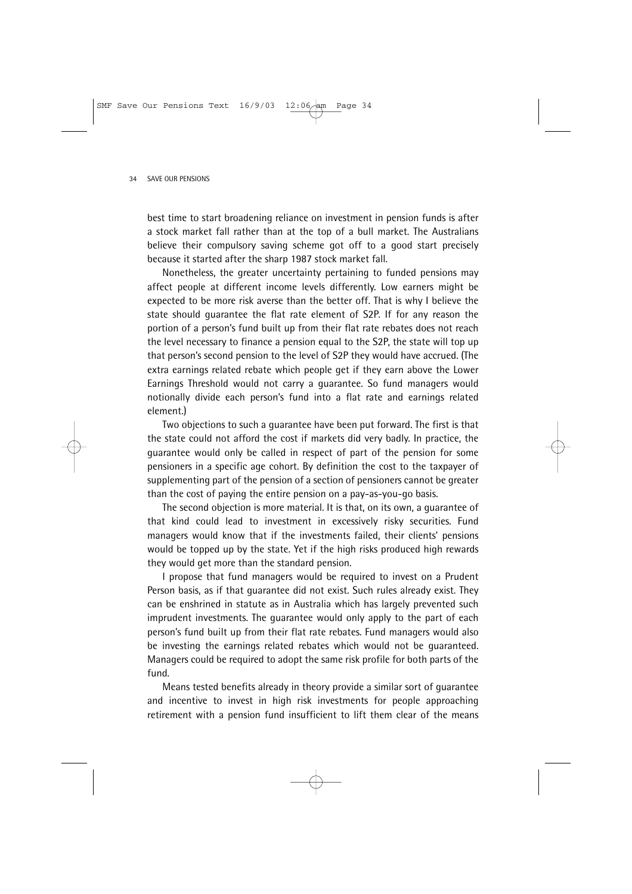best time to start broadening reliance on investment in pension funds is after a stock market fall rather than at the top of a bull market. The Australians believe their compulsory saving scheme got off to a good start precisely because it started after the sharp 1987 stock market fall.

Nonetheless, the greater uncertainty pertaining to funded pensions may affect people at different income levels differently. Low earners might be expected to be more risk averse than the better off. That is why I believe the state should guarantee the flat rate element of S2P. If for any reason the portion of a person's fund built up from their flat rate rebates does not reach the level necessary to finance a pension equal to the S2P, the state will top up that person's second pension to the level of S2P they would have accrued. (The extra earnings related rebate which people get if they earn above the Lower Earnings Threshold would not carry a guarantee. So fund managers would notionally divide each person's fund into a flat rate and earnings related element.)

Two objections to such a guarantee have been put forward. The first is that the state could not afford the cost if markets did very badly. In practice, the guarantee would only be called in respect of part of the pension for some pensioners in a specific age cohort. By definition the cost to the taxpayer of supplementing part of the pension of a section of pensioners cannot be greater than the cost of paying the entire pension on a pay-as-you-go basis.

The second objection is more material. It is that, on its own, a guarantee of that kind could lead to investment in excessively risky securities. Fund managers would know that if the investments failed, their clients' pensions would be topped up by the state. Yet if the high risks produced high rewards they would get more than the standard pension.

I propose that fund managers would be required to invest on a Prudent Person basis, as if that guarantee did not exist. Such rules already exist. They can be enshrined in statute as in Australia which has largely prevented such imprudent investments. The guarantee would only apply to the part of each person's fund built up from their flat rate rebates. Fund managers would also be investing the earnings related rebates which would not be guaranteed. Managers could be required to adopt the same risk profile for both parts of the fund.

Means tested benefits already in theory provide a similar sort of guarantee and incentive to invest in high risk investments for people approaching retirement with a pension fund insufficient to lift them clear of the means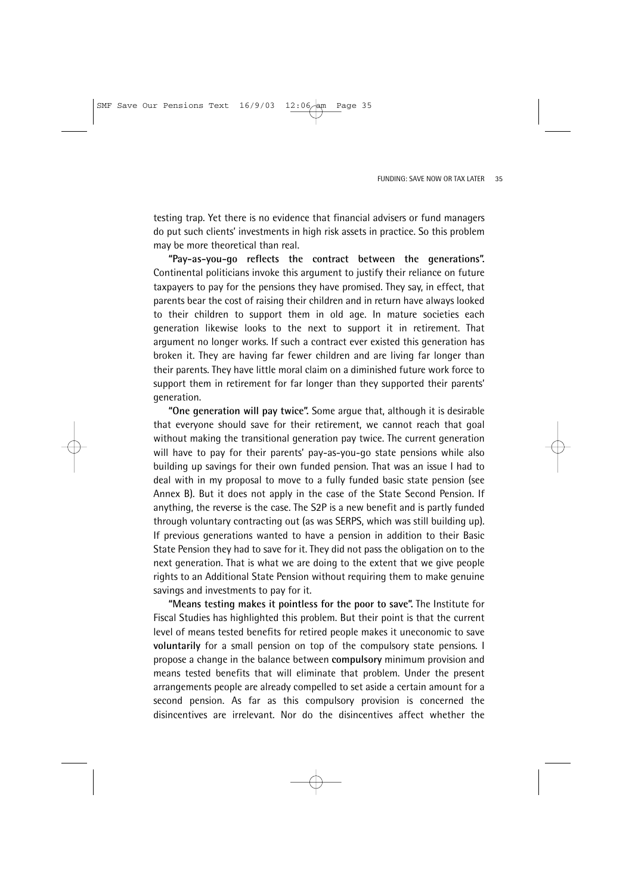testing trap. Yet there is no evidence that financial advisers or fund managers do put such clients' investments in high risk assets in practice. So this problem may be more theoretical than real.

**"Pay-as-you-go reflects the contract between the generations".** Continental politicians invoke this argument to justify their reliance on future taxpayers to pay for the pensions they have promised. They say, in effect, that parents bear the cost of raising their children and in return have always looked to their children to support them in old age. In mature societies each generation likewise looks to the next to support it in retirement. That argument no longer works. If such a contract ever existed this generation has broken it. They are having far fewer children and are living far longer than their parents. They have little moral claim on a diminished future work force to support them in retirement for far longer than they supported their parents' generation.

**"One generation will pay twice".** Some argue that, although it is desirable that everyone should save for their retirement, we cannot reach that goal without making the transitional generation pay twice. The current generation will have to pay for their parents' pay-as-you-go state pensions while also building up savings for their own funded pension. That was an issue I had to deal with in my proposal to move to a fully funded basic state pension (see Annex B). But it does not apply in the case of the State Second Pension. If anything, the reverse is the case. The S2P is a new benefit and is partly funded through voluntary contracting out (as was SERPS, which was still building up). If previous generations wanted to have a pension in addition to their Basic State Pension they had to save for it. They did not pass the obligation on to the next generation. That is what we are doing to the extent that we give people rights to an Additional State Pension without requiring them to make genuine savings and investments to pay for it.

**"Means testing makes it pointless for the poor to save".** The Institute for Fiscal Studies has highlighted this problem. But their point is that the current level of means tested benefits for retired people makes it uneconomic to save **voluntarily** for a small pension on top of the compulsory state pensions. I propose a change in the balance between **compulsory** minimum provision and means tested benefits that will eliminate that problem. Under the present arrangements people are already compelled to set aside a certain amount for a second pension. As far as this compulsory provision is concerned the disincentives are irrelevant. Nor do the disincentives affect whether the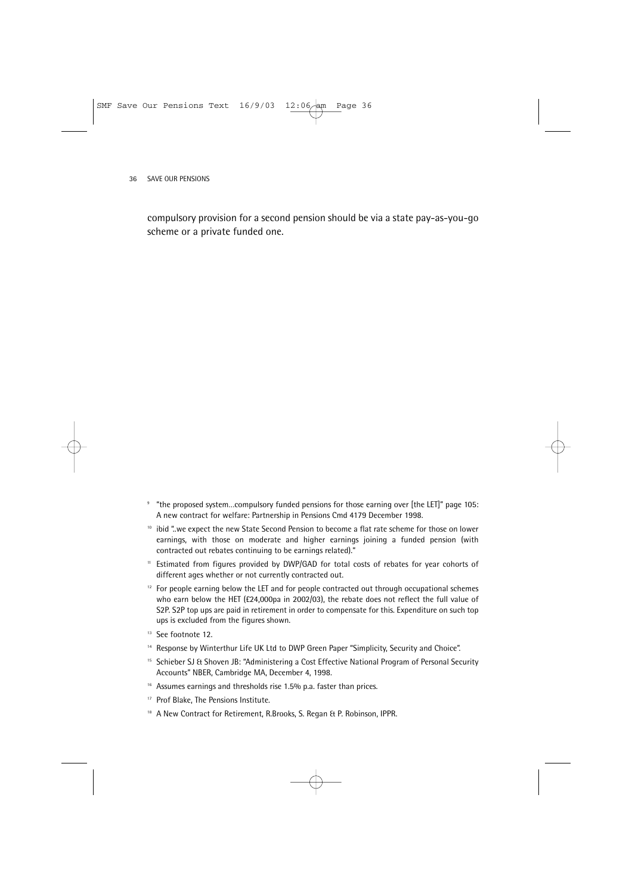compulsory provision for a second pension should be via a state pay-as-you-go scheme or a private funded one.

- <sup>9</sup> "the proposed system…compulsory funded pensions for those earning over [the LET]" page 105: A new contract for welfare: Partnership in Pensions Cmd 4179 December 1998.
- <sup>10</sup> ibid "..we expect the new State Second Pension to become a flat rate scheme for those on lower earnings, with those on moderate and higher earnings joining a funded pension (with contracted out rebates continuing to be earnings related)."
- <sup>11</sup> Estimated from figures provided by DWP/GAD for total costs of rebates for year cohorts of different ages whether or not currently contracted out.
- $12$  For people earning below the LET and for people contracted out through occupational schemes who earn below the HET (£24,000pa in 2002/03), the rebate does not reflect the full value of S2P. S2P top ups are paid in retirement in order to compensate for this. Expenditure on such top ups is excluded from the figures shown.
- <sup>13</sup> See footnote 12.
- <sup>14</sup> Response by Winterthur Life UK Ltd to DWP Green Paper "Simplicity, Security and Choice".
- <sup>15</sup> Schieber SJ & Shoven JB: "Administering a Cost Effective National Program of Personal Security Accounts" NBER, Cambridge MA, December 4, 1998.
- <sup>16</sup> Assumes earnings and thresholds rise 1.5% p.a. faster than prices.
- <sup>17</sup> Prof Blake, The Pensions Institute.
- <sup>18</sup> A New Contract for Retirement, R.Brooks, S. Regan & P. Robinson, IPPR.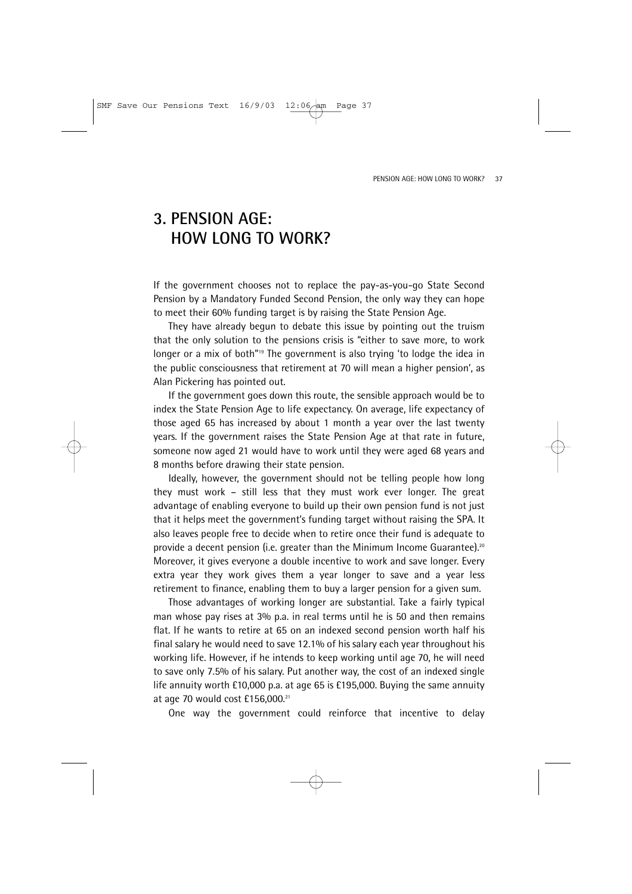### **3. PENSION AGE: HOW LONG TO WORK?**

If the government chooses not to replace the pay-as-you-go State Second Pension by a Mandatory Funded Second Pension, the only way they can hope to meet their 60% funding target is by raising the State Pension Age.

They have already begun to debate this issue by pointing out the truism that the only solution to the pensions crisis is "either to save more, to work longer or a mix of both"<sup>19</sup> The government is also trying 'to lodge the idea in the public consciousness that retirement at 70 will mean a higher pension', as Alan Pickering has pointed out.

If the government goes down this route, the sensible approach would be to index the State Pension Age to life expectancy. On average, life expectancy of those aged 65 has increased by about 1 month a year over the last twenty years. If the government raises the State Pension Age at that rate in future, someone now aged 21 would have to work until they were aged 68 years and 8 months before drawing their state pension.

Ideally, however, the government should not be telling people how long they must work – still less that they must work ever longer. The great advantage of enabling everyone to build up their own pension fund is not just that it helps meet the government's funding target without raising the SPA. It also leaves people free to decide when to retire once their fund is adequate to provide a decent pension (i.e. greater than the Minimum Income Guarantee).20 Moreover, it gives everyone a double incentive to work and save longer. Every extra year they work gives them a year longer to save and a year less retirement to finance, enabling them to buy a larger pension for a given sum.

Those advantages of working longer are substantial. Take a fairly typical man whose pay rises at 3% p.a. in real terms until he is 50 and then remains flat. If he wants to retire at 65 on an indexed second pension worth half his final salary he would need to save 12.1% of his salary each year throughout his working life. However, if he intends to keep working until age 70, he will need to save only 7.5% of his salary. Put another way, the cost of an indexed single life annuity worth £10,000 p.a. at age 65 is £195,000. Buying the same annuity at age 70 would cost £156,000.21

One way the government could reinforce that incentive to delay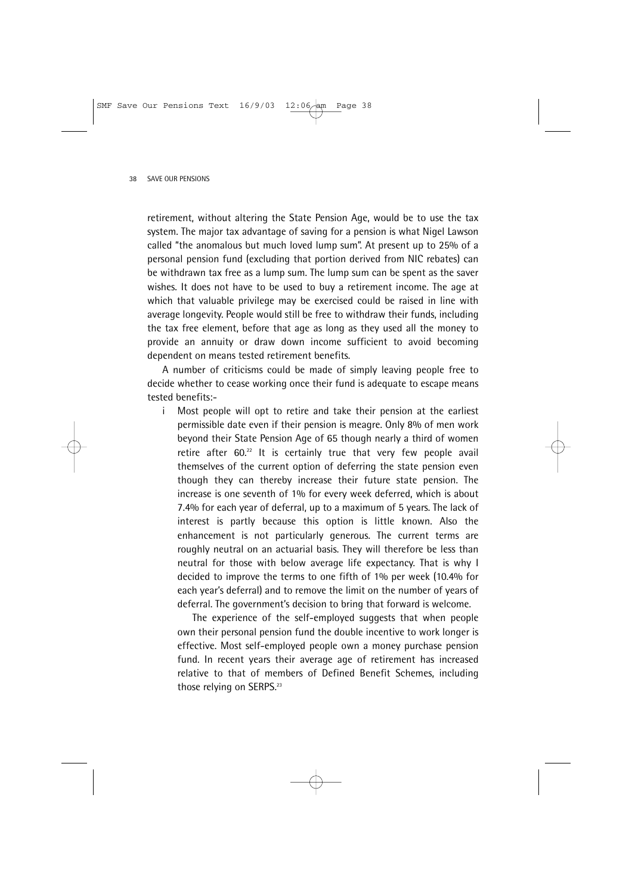retirement, without altering the State Pension Age, would be to use the tax system. The major tax advantage of saving for a pension is what Nigel Lawson called "the anomalous but much loved lump sum". At present up to 25% of a personal pension fund (excluding that portion derived from NIC rebates) can be withdrawn tax free as a lump sum. The lump sum can be spent as the saver wishes. It does not have to be used to buy a retirement income. The age at which that valuable privilege may be exercised could be raised in line with average longevity. People would still be free to withdraw their funds, including the tax free element, before that age as long as they used all the money to provide an annuity or draw down income sufficient to avoid becoming dependent on means tested retirement benefits.

A number of criticisms could be made of simply leaving people free to decide whether to cease working once their fund is adequate to escape means tested benefits:-

i Most people will opt to retire and take their pension at the earliest permissible date even if their pension is meagre. Only 8% of men work beyond their State Pension Age of 65 though nearly a third of women retire after 60.<sup>22</sup> It is certainly true that very few people avail themselves of the current option of deferring the state pension even though they can thereby increase their future state pension. The increase is one seventh of 1% for every week deferred, which is about 7.4% for each year of deferral, up to a maximum of 5 years. The lack of interest is partly because this option is little known. Also the enhancement is not particularly generous. The current terms are roughly neutral on an actuarial basis. They will therefore be less than neutral for those with below average life expectancy. That is why I decided to improve the terms to one fifth of 1% per week (10.4% for each year's deferral) and to remove the limit on the number of years of deferral. The government's decision to bring that forward is welcome.

The experience of the self-employed suggests that when people own their personal pension fund the double incentive to work longer is effective. Most self-employed people own a money purchase pension fund. In recent years their average age of retirement has increased relative to that of members of Defined Benefit Schemes, including those relying on SERPS.<sup>23</sup>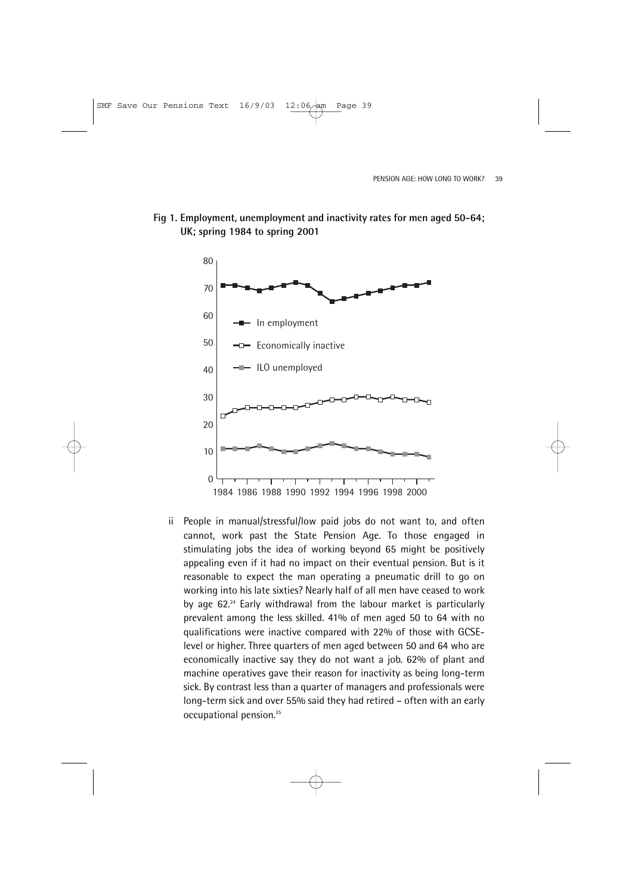

### **Fig 1. Employment, unemployment and inactivity rates for men aged 50-64; UK; spring 1984 to spring 2001**

ii People in manual/stressful/low paid jobs do not want to, and often cannot, work past the State Pension Age. To those engaged in stimulating jobs the idea of working beyond 65 might be positively appealing even if it had no impact on their eventual pension. But is it reasonable to expect the man operating a pneumatic drill to go on working into his late sixties? Nearly half of all men have ceased to work by age 62.24 Early withdrawal from the labour market is particularly prevalent among the less skilled. 41% of men aged 50 to 64 with no qualifications were inactive compared with 22% of those with GCSElevel or higher. Three quarters of men aged between 50 and 64 who are economically inactive say they do not want a job. 62% of plant and machine operatives gave their reason for inactivity as being long-term sick. By contrast less than a quarter of managers and professionals were long-term sick and over 55% said they had retired – often with an early occupational pension.25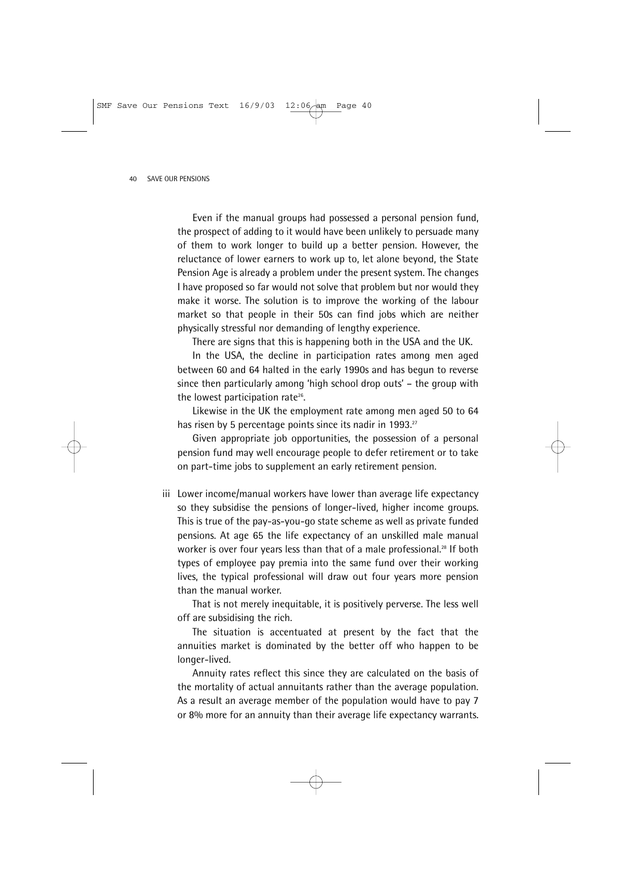Even if the manual groups had possessed a personal pension fund, the prospect of adding to it would have been unlikely to persuade many of them to work longer to build up a better pension. However, the reluctance of lower earners to work up to, let alone beyond, the State Pension Age is already a problem under the present system. The changes I have proposed so far would not solve that problem but nor would they make it worse. The solution is to improve the working of the labour market so that people in their 50s can find jobs which are neither physically stressful nor demanding of lengthy experience.

There are signs that this is happening both in the USA and the UK.

In the USA, the decline in participation rates among men aged between 60 and 64 halted in the early 1990s and has begun to reverse since then particularly among 'high school drop outs' – the group with the lowest participation rate<sup>26</sup>.

Likewise in the UK the employment rate among men aged 50 to 64 has risen by 5 percentage points since its nadir in 1993.<sup>27</sup>

Given appropriate job opportunities, the possession of a personal pension fund may well encourage people to defer retirement or to take on part-time jobs to supplement an early retirement pension.

iii Lower income/manual workers have lower than average life expectancy so they subsidise the pensions of longer-lived, higher income groups. This is true of the pay-as-you-go state scheme as well as private funded pensions. At age 65 the life expectancy of an unskilled male manual worker is over four years less than that of a male professional.<sup>28</sup> If both types of employee pay premia into the same fund over their working lives, the typical professional will draw out four years more pension than the manual worker.

That is not merely inequitable, it is positively perverse. The less well off are subsidising the rich.

The situation is accentuated at present by the fact that the annuities market is dominated by the better off who happen to be longer-lived.

Annuity rates reflect this since they are calculated on the basis of the mortality of actual annuitants rather than the average population. As a result an average member of the population would have to pay 7 or 8% more for an annuity than their average life expectancy warrants.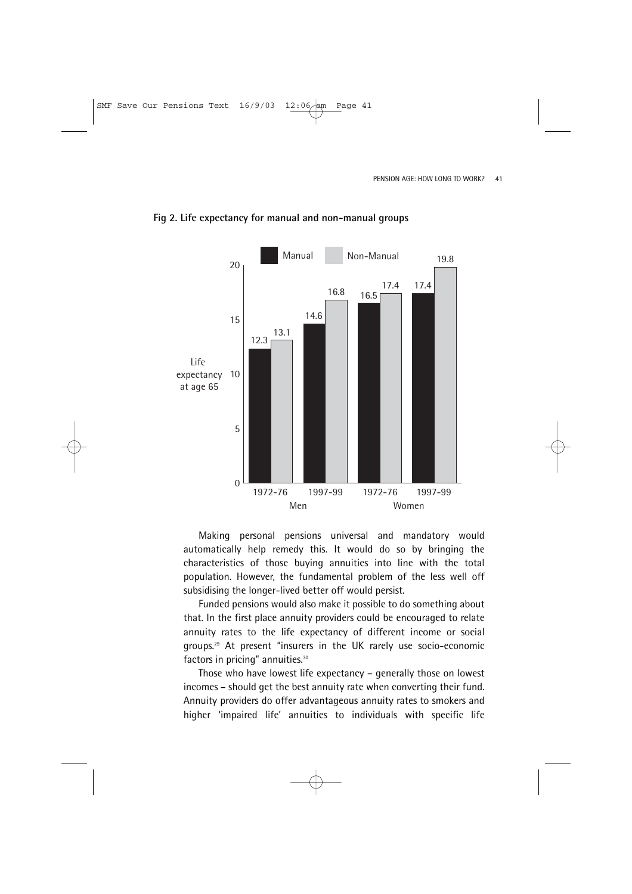

#### **Fig 2. Life expectancy for manual and non-manual groups**

Making personal pensions universal and mandatory would automatically help remedy this. It would do so by bringing the characteristics of those buying annuities into line with the total population. However, the fundamental problem of the less well off subsidising the longer-lived better off would persist.

Funded pensions would also make it possible to do something about that. In the first place annuity providers could be encouraged to relate annuity rates to the life expectancy of different income or social groups.29 At present "insurers in the UK rarely use socio-economic factors in pricing" annuities.30

Those who have lowest life expectancy – generally those on lowest incomes – should get the best annuity rate when converting their fund. Annuity providers do offer advantageous annuity rates to smokers and higher 'impaired life' annuities to individuals with specific life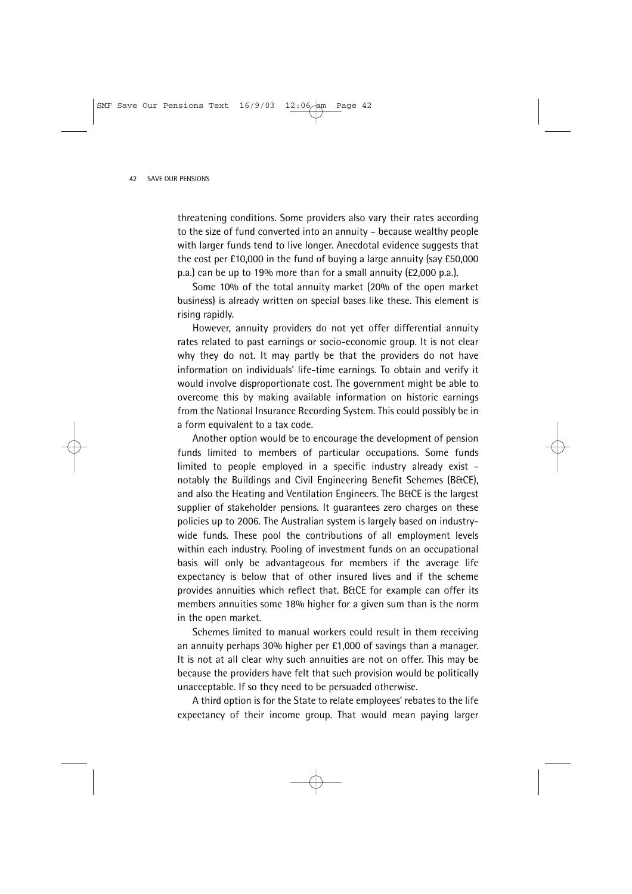threatening conditions. Some providers also vary their rates according to the size of fund converted into an annuity – because wealthy people with larger funds tend to live longer. Anecdotal evidence suggests that the cost per £10,000 in the fund of buying a large annuity (say £50,000 p.a.) can be up to 19% more than for a small annuity (£2,000 p.a.).

Some 10% of the total annuity market (20% of the open market business) is already written on special bases like these. This element is rising rapidly.

However, annuity providers do not yet offer differential annuity rates related to past earnings or socio-economic group. It is not clear why they do not. It may partly be that the providers do not have information on individuals' life-time earnings. To obtain and verify it would involve disproportionate cost. The government might be able to overcome this by making available information on historic earnings from the National Insurance Recording System. This could possibly be in a form equivalent to a tax code.

Another option would be to encourage the development of pension funds limited to members of particular occupations. Some funds limited to people employed in a specific industry already exist notably the Buildings and Civil Engineering Benefit Schemes (B&CE), and also the Heating and Ventilation Engineers. The B&CE is the largest supplier of stakeholder pensions. It guarantees zero charges on these policies up to 2006. The Australian system is largely based on industrywide funds. These pool the contributions of all employment levels within each industry. Pooling of investment funds on an occupational basis will only be advantageous for members if the average life expectancy is below that of other insured lives and if the scheme provides annuities which reflect that. B&CE for example can offer its members annuities some 18% higher for a given sum than is the norm in the open market.

Schemes limited to manual workers could result in them receiving an annuity perhaps 30% higher per £1,000 of savings than a manager. It is not at all clear why such annuities are not on offer. This may be because the providers have felt that such provision would be politically unacceptable. If so they need to be persuaded otherwise.

A third option is for the State to relate employees' rebates to the life expectancy of their income group. That would mean paying larger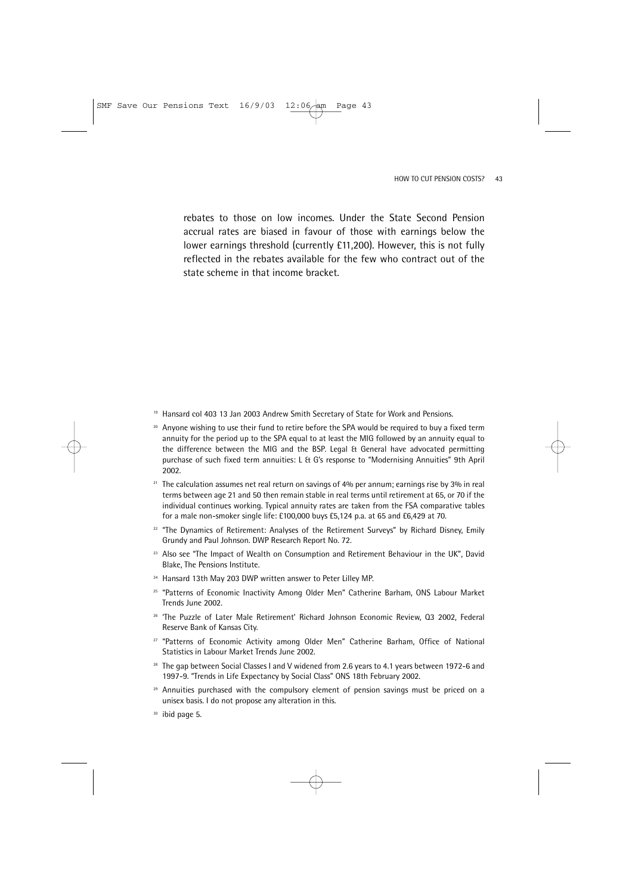rebates to those on low incomes. Under the State Second Pension accrual rates are biased in favour of those with earnings below the lower earnings threshold (currently £11,200). However, this is not fully reflected in the rebates available for the few who contract out of the state scheme in that income bracket.

- <sup>19</sup> Hansard col 403 13 Jan 2003 Andrew Smith Secretary of State for Work and Pensions.
- <sup>20</sup> Anyone wishing to use their fund to retire before the SPA would be required to buy a fixed term annuity for the period up to the SPA equal to at least the MIG followed by an annuity equal to the difference between the MIG and the BSP. Legal & General have advocated permitting purchase of such fixed term annuities: L & G's response to "Modernising Annuities" 9th April 2002.
- $21$  The calculation assumes net real return on savings of  $4\%$  per annum; earnings rise by 3% in real terms between age 21 and 50 then remain stable in real terms until retirement at 65, or 70 if the individual continues working. Typical annuity rates are taken from the FSA comparative tables for a male non-smoker single life: £100,000 buys £5,124 p.a. at 65 and £6,429 at 70.
- <sup>22</sup> "The Dynamics of Retirement: Analyses of the Retirement Surveys" by Richard Disney, Emily Grundy and Paul Johnson. DWP Research Report No. 72.
- $23$  Also see "The Impact of Wealth on Consumption and Retirement Behaviour in the UK", David Blake, The Pensions Institute.
- <sup>24</sup> Hansard 13th May 203 DWP written answer to Peter Lilley MP.
- <sup>25</sup> "Patterns of Economic Inactivity Among Older Men" Catherine Barham, ONS Labour Market Trends June 2002.
- <sup>26</sup> 'The Puzzle of Later Male Retirement' Richard Johnson Economic Review, Q3 2002, Federal Reserve Bank of Kansas City.
- <sup>27</sup> "Patterns of Economic Activity among Older Men" Catherine Barham, Office of National Statistics in Labour Market Trends June 2002.
- $28$  The gap between Social Classes I and V widened from 2.6 years to 4.1 years between 1972-6 and 1997-9. "Trends in Life Expectancy by Social Class" ONS 18th February 2002.
- <sup>29</sup> Annuities purchased with the compulsory element of pension savings must be priced on a unisex basis. I do not propose any alteration in this.
- <sup>30</sup> ibid page 5.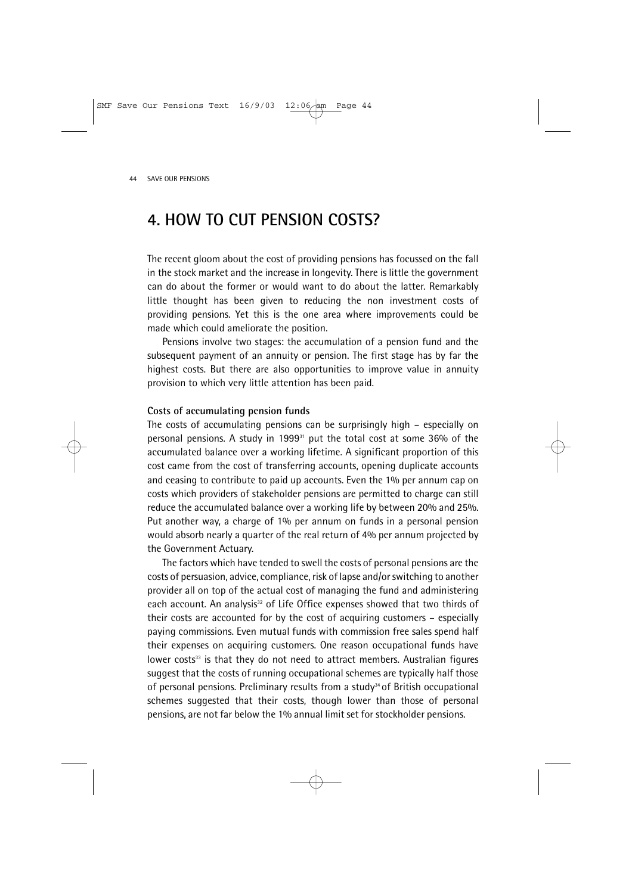## **4. HOW TO CUT PENSION COSTS?**

The recent gloom about the cost of providing pensions has focussed on the fall in the stock market and the increase in longevity. There is little the government can do about the former or would want to do about the latter. Remarkably little thought has been given to reducing the non investment costs of providing pensions. Yet this is the one area where improvements could be made which could ameliorate the position.

Pensions involve two stages: the accumulation of a pension fund and the subsequent payment of an annuity or pension. The first stage has by far the highest costs. But there are also opportunities to improve value in annuity provision to which very little attention has been paid.

### **Costs of accumulating pension funds**

The costs of accumulating pensions can be surprisingly high – especially on personal pensions. A study in 199931 put the total cost at some 36% of the accumulated balance over a working lifetime. A significant proportion of this cost came from the cost of transferring accounts, opening duplicate accounts and ceasing to contribute to paid up accounts. Even the 1% per annum cap on costs which providers of stakeholder pensions are permitted to charge can still reduce the accumulated balance over a working life by between 20% and 25%. Put another way, a charge of 1% per annum on funds in a personal pension would absorb nearly a quarter of the real return of 4% per annum projected by the Government Actuary.

The factors which have tended to swell the costs of personal pensions are the costs of persuasion, advice, compliance, risk of lapse and/or switching to another provider all on top of the actual cost of managing the fund and administering each account. An analysis<sup>32</sup> of Life Office expenses showed that two thirds of their costs are accounted for by the cost of acquiring customers – especially paying commissions. Even mutual funds with commission free sales spend half their expenses on acquiring customers. One reason occupational funds have lower costs<sup>33</sup> is that they do not need to attract members. Australian figures suggest that the costs of running occupational schemes are typically half those of personal pensions. Preliminary results from a study<sup>34</sup> of British occupational schemes suggested that their costs, though lower than those of personal pensions, are not far below the 1% annual limit set for stockholder pensions.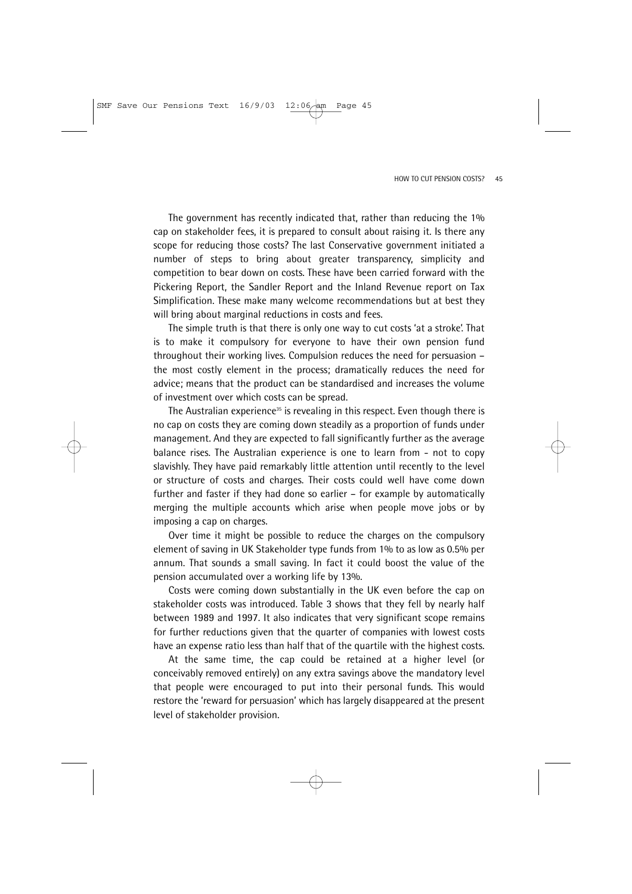The government has recently indicated that, rather than reducing the 1% cap on stakeholder fees, it is prepared to consult about raising it. Is there any scope for reducing those costs? The last Conservative government initiated a number of steps to bring about greater transparency, simplicity and competition to bear down on costs. These have been carried forward with the Pickering Report, the Sandler Report and the Inland Revenue report on Tax Simplification. These make many welcome recommendations but at best they will bring about marginal reductions in costs and fees.

The simple truth is that there is only one way to cut costs 'at a stroke'. That is to make it compulsory for everyone to have their own pension fund throughout their working lives. Compulsion reduces the need for persuasion – the most costly element in the process; dramatically reduces the need for advice; means that the product can be standardised and increases the volume of investment over which costs can be spread.

The Australian experience<sup>35</sup> is revealing in this respect. Even though there is no cap on costs they are coming down steadily as a proportion of funds under management. And they are expected to fall significantly further as the average balance rises. The Australian experience is one to learn from - not to copy slavishly. They have paid remarkably little attention until recently to the level or structure of costs and charges. Their costs could well have come down further and faster if they had done so earlier – for example by automatically merging the multiple accounts which arise when people move jobs or by imposing a cap on charges.

Over time it might be possible to reduce the charges on the compulsory element of saving in UK Stakeholder type funds from 1% to as low as 0.5% per annum. That sounds a small saving. In fact it could boost the value of the pension accumulated over a working life by 13%.

Costs were coming down substantially in the UK even before the cap on stakeholder costs was introduced. Table 3 shows that they fell by nearly half between 1989 and 1997. It also indicates that very significant scope remains for further reductions given that the quarter of companies with lowest costs have an expense ratio less than half that of the quartile with the highest costs.

At the same time, the cap could be retained at a higher level (or conceivably removed entirely) on any extra savings above the mandatory level that people were encouraged to put into their personal funds. This would restore the 'reward for persuasion' which has largely disappeared at the present level of stakeholder provision.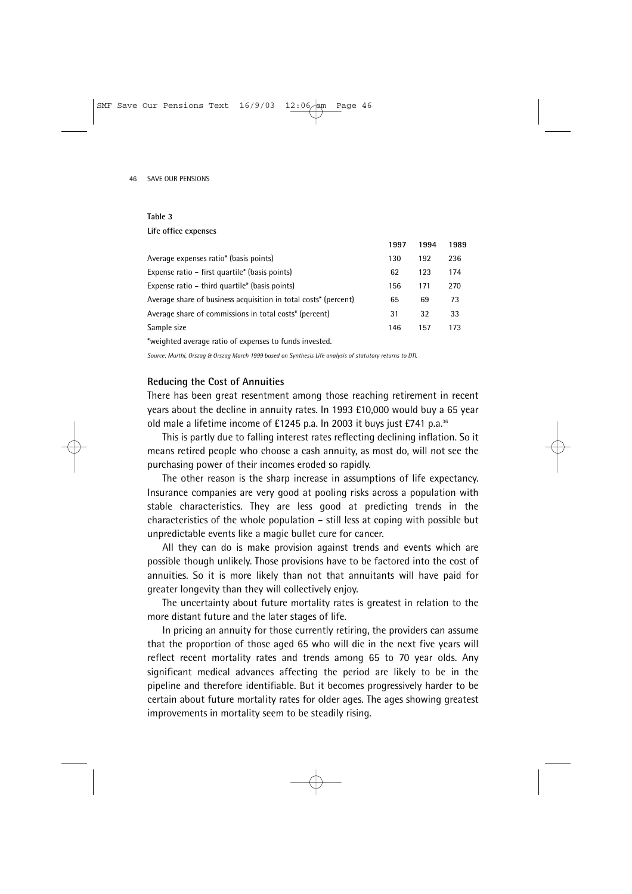### **Table 3**

### **Life office expenses**

|                                                                 | 1997 | 1994 | 1989 |
|-----------------------------------------------------------------|------|------|------|
| Average expenses ratio* (basis points)                          | 130  | 192  | 236  |
| Expense ratio – first quartile* (basis points)                  | 62   | 123  | 174  |
| Expense ratio – third quartile* (basis points)                  | 156  | 171  | 270  |
| Average share of business acquisition in total costs* (percent) | 65   | 69   | 73   |
| Average share of commissions in total costs* (percent)          | 31   | 32   | 33   |
| Sample size                                                     | 146  | 157  | 173  |
| *weighted average ratio of expenses to funds invested.          |      |      |      |

*Source: Murthi, Orszag & Orszag March 1999 based on Synthesis Life analysis of statutory returns to DTI.*

### **Reducing the Cost of Annuities**

There has been great resentment among those reaching retirement in recent years about the decline in annuity rates. In 1993 £10,000 would buy a 65 year old male a lifetime income of £1245 p.a. In 2003 it buys just £741 p.a.36

This is partly due to falling interest rates reflecting declining inflation. So it means retired people who choose a cash annuity, as most do, will not see the purchasing power of their incomes eroded so rapidly.

The other reason is the sharp increase in assumptions of life expectancy. Insurance companies are very good at pooling risks across a population with stable characteristics. They are less good at predicting trends in the characteristics of the whole population – still less at coping with possible but unpredictable events like a magic bullet cure for cancer.

All they can do is make provision against trends and events which are possible though unlikely. Those provisions have to be factored into the cost of annuities. So it is more likely than not that annuitants will have paid for greater longevity than they will collectively enjoy.

The uncertainty about future mortality rates is greatest in relation to the more distant future and the later stages of life.

In pricing an annuity for those currently retiring, the providers can assume that the proportion of those aged 65 who will die in the next five years will reflect recent mortality rates and trends among 65 to 70 year olds. Any significant medical advances affecting the period are likely to be in the pipeline and therefore identifiable. But it becomes progressively harder to be certain about future mortality rates for older ages. The ages showing greatest improvements in mortality seem to be steadily rising.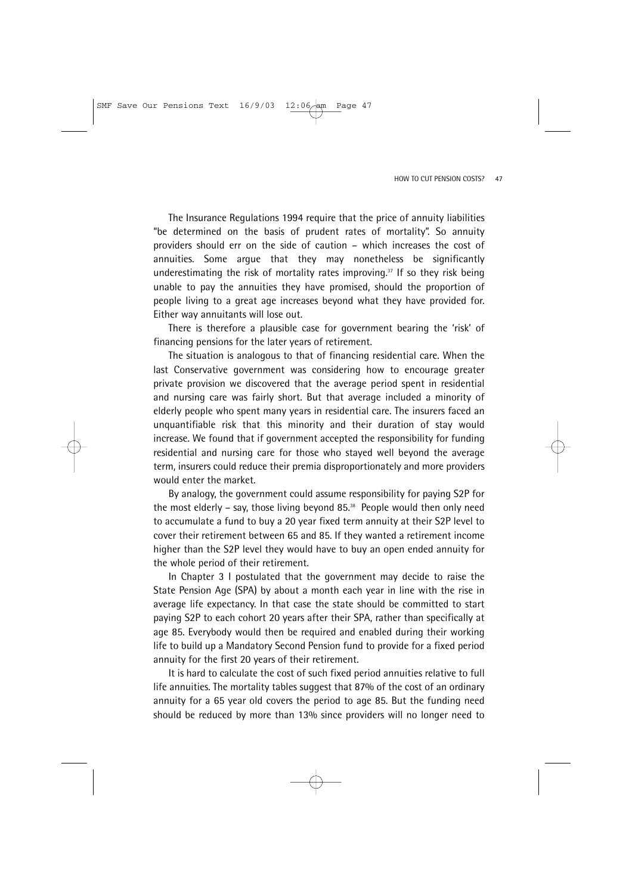The Insurance Regulations 1994 require that the price of annuity liabilities "be determined on the basis of prudent rates of mortality". So annuity providers should err on the side of caution – which increases the cost of annuities. Some argue that they may nonetheless be significantly underestimating the risk of mortality rates improving.<sup>37</sup> If so they risk being unable to pay the annuities they have promised, should the proportion of people living to a great age increases beyond what they have provided for. Either way annuitants will lose out.

There is therefore a plausible case for government bearing the 'risk' of financing pensions for the later years of retirement.

The situation is analogous to that of financing residential care. When the last Conservative government was considering how to encourage greater private provision we discovered that the average period spent in residential and nursing care was fairly short. But that average included a minority of elderly people who spent many years in residential care. The insurers faced an unquantifiable risk that this minority and their duration of stay would increase. We found that if government accepted the responsibility for funding residential and nursing care for those who stayed well beyond the average term, insurers could reduce their premia disproportionately and more providers would enter the market.

By analogy, the government could assume responsibility for paying S2P for the most elderly – say, those living beyond 85. $38$  People would then only need to accumulate a fund to buy a 20 year fixed term annuity at their S2P level to cover their retirement between 65 and 85. If they wanted a retirement income higher than the S2P level they would have to buy an open ended annuity for the whole period of their retirement.

In Chapter 3 I postulated that the government may decide to raise the State Pension Age (SPA) by about a month each year in line with the rise in average life expectancy. In that case the state should be committed to start paying S2P to each cohort 20 years after their SPA, rather than specifically at age 85. Everybody would then be required and enabled during their working life to build up a Mandatory Second Pension fund to provide for a fixed period annuity for the first 20 years of their retirement.

It is hard to calculate the cost of such fixed period annuities relative to full life annuities. The mortality tables suggest that 87% of the cost of an ordinary annuity for a 65 year old covers the period to age 85. But the funding need should be reduced by more than 13% since providers will no longer need to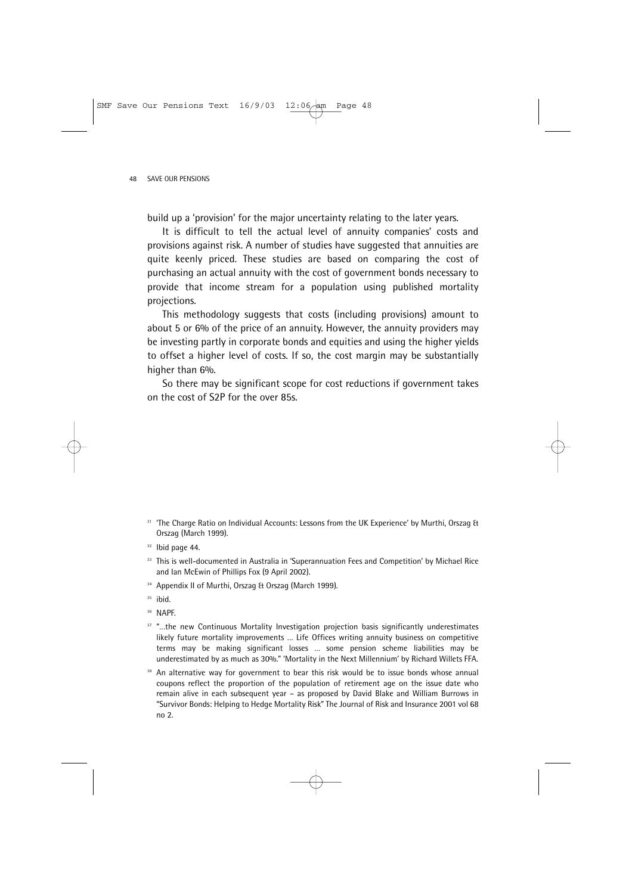build up a 'provision' for the major uncertainty relating to the later years.

It is difficult to tell the actual level of annuity companies' costs and provisions against risk. A number of studies have suggested that annuities are quite keenly priced. These studies are based on comparing the cost of purchasing an actual annuity with the cost of government bonds necessary to provide that income stream for a population using published mortality projections.

This methodology suggests that costs (including provisions) amount to about 5 or 6% of the price of an annuity. However, the annuity providers may be investing partly in corporate bonds and equities and using the higher yields to offset a higher level of costs. If so, the cost margin may be substantially higher than 6%.

So there may be significant scope for cost reductions if government takes on the cost of S2P for the over 85s.

- <sup>31</sup> 'The Charge Ratio on Individual Accounts: Lessons from the UK Experience' by Murthi, Orszag & Orszag (March 1999).
- $32$  Ibid page 44.
- 33 This is well-documented in Australia in 'Superannuation Fees and Competition' by Michael Rice and Ian McEwin of Phillips Fox (9 April 2002).
- <sup>34</sup> Appendix II of Murthi, Orszag & Orszag (March 1999).

<sup>35</sup> ibid.

<sup>36</sup> NAPF.

- <sup>37</sup> "...the new Continuous Mortality Investigation projection basis significantly underestimates likely future mortality improvements … Life Offices writing annuity business on competitive terms may be making significant losses … some pension scheme liabilities may be underestimated by as much as 30%." 'Mortality in the Next Millennium' by Richard Willets FFA.
- <sup>38</sup> An alternative way for government to bear this risk would be to issue bonds whose annual coupons reflect the proportion of the population of retirement age on the issue date who remain alive in each subsequent year – as proposed by David Blake and William Burrows in "Survivor Bonds: Helping to Hedge Mortality Risk" The Journal of Risk and Insurance 2001 vol 68 no 2.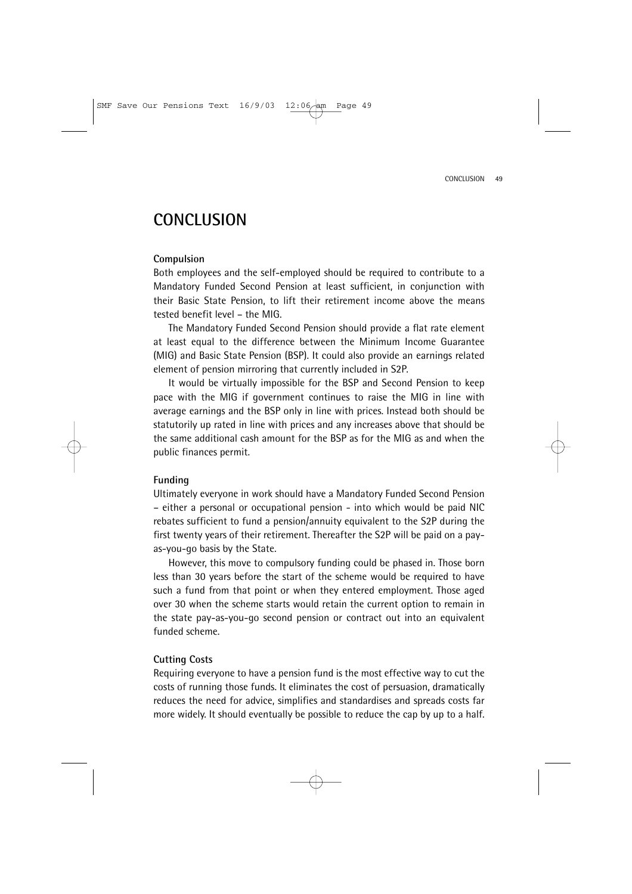### **CONCLUSION**

### **Compulsion**

Both employees and the self-employed should be required to contribute to a Mandatory Funded Second Pension at least sufficient, in conjunction with their Basic State Pension, to lift their retirement income above the means tested benefit level – the MIG.

The Mandatory Funded Second Pension should provide a flat rate element at least equal to the difference between the Minimum Income Guarantee (MIG) and Basic State Pension (BSP). It could also provide an earnings related element of pension mirroring that currently included in S2P.

It would be virtually impossible for the BSP and Second Pension to keep pace with the MIG if government continues to raise the MIG in line with average earnings and the BSP only in line with prices. Instead both should be statutorily up rated in line with prices and any increases above that should be the same additional cash amount for the BSP as for the MIG as and when the public finances permit.

### **Funding**

Ultimately everyone in work should have a Mandatory Funded Second Pension – either a personal or occupational pension - into which would be paid NIC rebates sufficient to fund a pension/annuity equivalent to the S2P during the first twenty years of their retirement. Thereafter the S2P will be paid on a payas-you-go basis by the State.

However, this move to compulsory funding could be phased in. Those born less than 30 years before the start of the scheme would be required to have such a fund from that point or when they entered employment. Those aged over 30 when the scheme starts would retain the current option to remain in the state pay-as-you-go second pension or contract out into an equivalent funded scheme.

### **Cutting Costs**

Requiring everyone to have a pension fund is the most effective way to cut the costs of running those funds. It eliminates the cost of persuasion, dramatically reduces the need for advice, simplifies and standardises and spreads costs far more widely. It should eventually be possible to reduce the cap by up to a half.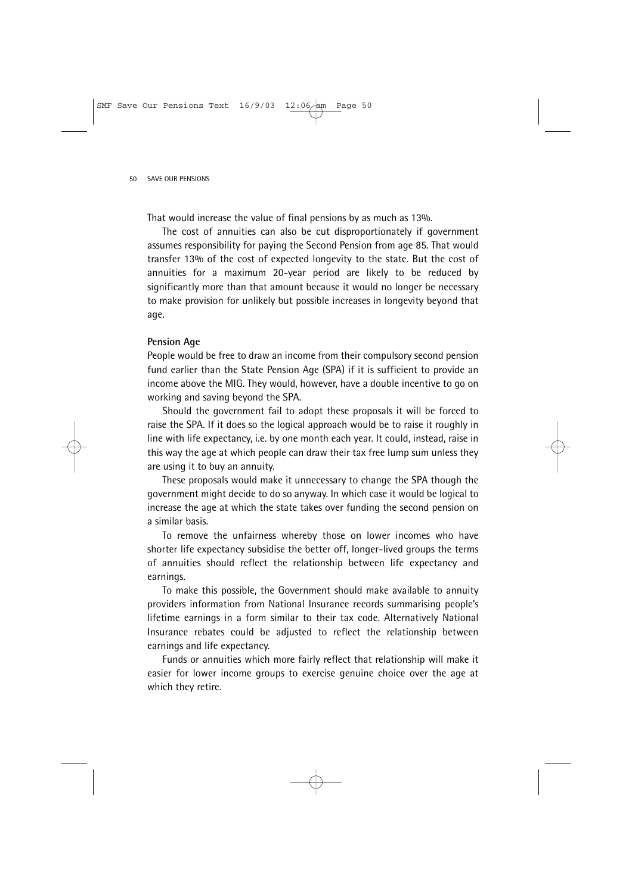That would increase the value of final pensions by as much as 13%.

The cost of annuities can also be cut disproportionately if government assumes responsibility for paying the Second Pension from age 85. That would transfer 13% of the cost of expected longevity to the state. But the cost of annuities for a maximum 20-year period are likely to be reduced by significantly more than that amount because it would no longer be necessary to make provision for unlikely but possible increases in longevity beyond that age.

#### **Pension Age**

People would be free to draw an income from their compulsory second pension fund earlier than the State Pension Age (SPA) if it is sufficient to provide an income above the MIG. They would, however, have a double incentive to go on working and saving beyond the SPA.

Should the government fail to adopt these proposals it will be forced to raise the SPA. If it does so the logical approach would be to raise it roughly in line with life expectancy, i.e. by one month each year. It could, instead, raise in this way the age at which people can draw their tax free lump sum unless they are using it to buy an annuity.

These proposals would make it unnecessary to change the SPA though the government might decide to do so anyway. In which case it would be logical to increase the age at which the state takes over funding the second pension on a similar basis.

To remove the unfairness whereby those on lower incomes who have shorter life expectancy subsidise the better off, longer-lived groups the terms of annuities should reflect the relationship between life expectancy and earnings.

To make this possible, the Government should make available to annuity providers information from National Insurance records summarising people's lifetime earnings in a form similar to their tax code. Alternatively National Insurance rebates could be adjusted to reflect the relationship between earnings and life expectancy.

Funds or annuities which more fairly reflect that relationship will make it easier for lower income groups to exercise genuine choice over the age at which they retire.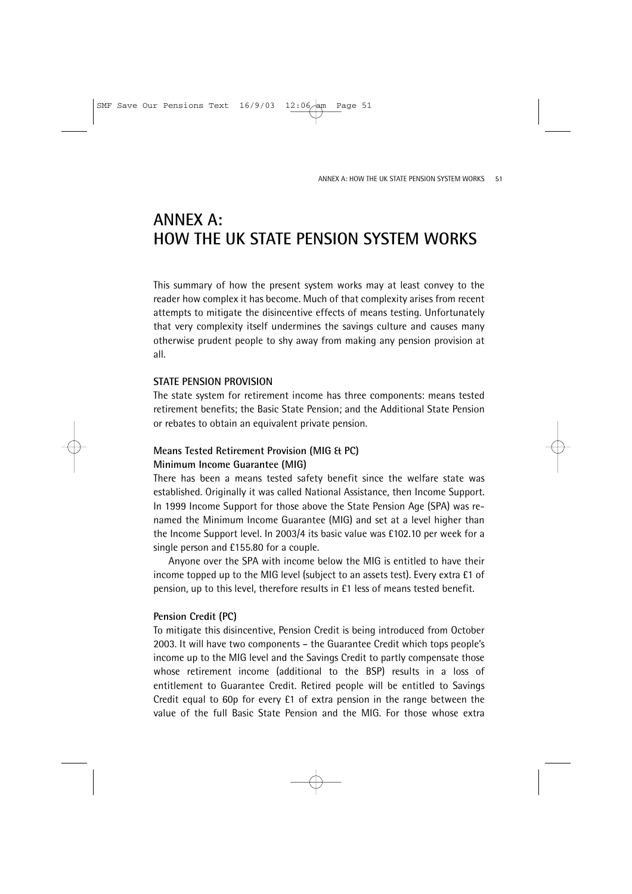# **ANNEX A: HOW THE UK STATE PENSION SYSTEM WORKS**

This summary of how the present system works may at least convey to the reader how complex it has become. Much of that complexity arises from recent attempts to mitigate the disincentive effects of means testing. Unfortunately that very complexity itself undermines the savings culture and causes many otherwise prudent people to shy away from making any pension provision at all.

### **STATE PENSION PROVISION**

The state system for retirement income has three components: means tested retirement benefits; the Basic State Pension; and the Additional State Pension or rebates to obtain an equivalent private pension.

### **Means Tested Retirement Provision (MIG & PC) Minimum Income Guarantee (MIG)**

There has been a means tested safety benefit since the welfare state was established. Originally it was called National Assistance, then Income Support. In 1999 Income Support for those above the State Pension Age (SPA) was renamed the Minimum Income Guarantee (MIG) and set at a level higher than the Income Support level. In 2003/4 its basic value was £102.10 per week for a single person and £155.80 for a couple.

Anyone over the SPA with income below the MIG is entitled to have their income topped up to the MIG level (subject to an assets test). Every extra £1 of pension, up to this level, therefore results in £1 less of means tested benefit.

### **Pension Credit (PC)**

To mitigate this disincentive, Pension Credit is being introduced from October 2003. It will have two components – the Guarantee Credit which tops people's income up to the MIG level and the Savings Credit to partly compensate those whose retirement income (additional to the BSP) results in a loss of entitlement to Guarantee Credit. Retired people will be entitled to Savings Credit equal to 60p for every £1 of extra pension in the range between the value of the full Basic State Pension and the MIG. For those whose extra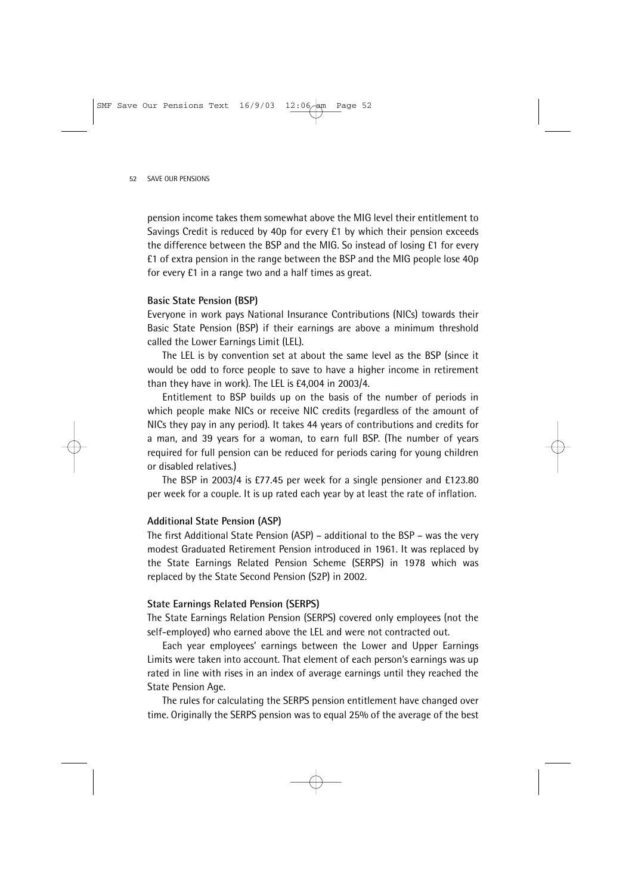pension income takes them somewhat above the MIG level their entitlement to Savings Credit is reduced by 40p for every £1 by which their pension exceeds the difference between the BSP and the MIG. So instead of losing £1 for every £1 of extra pension in the range between the BSP and the MIG people lose 40p for every £1 in a range two and a half times as great.

#### **Basic State Pension (BSP)**

Everyone in work pays National Insurance Contributions (NICs) towards their Basic State Pension (BSP) if their earnings are above a minimum threshold called the Lower Earnings Limit (LEL).

The LEL is by convention set at about the same level as the BSP (since it would be odd to force people to save to have a higher income in retirement than they have in work). The LEL is £4,004 in 2003/4.

Entitlement to BSP builds up on the basis of the number of periods in which people make NICs or receive NIC credits (regardless of the amount of NICs they pay in any period). It takes 44 years of contributions and credits for a man, and 39 years for a woman, to earn full BSP. (The number of years required for full pension can be reduced for periods caring for young children or disabled relatives.)

The BSP in 2003/4 is £77.45 per week for a single pensioner and £123.80 per week for a couple. It is up rated each year by at least the rate of inflation.

#### **Additional State Pension (ASP)**

The first Additional State Pension (ASP) – additional to the BSP – was the very modest Graduated Retirement Pension introduced in 1961. It was replaced by the State Earnings Related Pension Scheme (SERPS) in 1978 which was replaced by the State Second Pension (S2P) in 2002.

#### **State Earnings Related Pension (SERPS)**

The State Earnings Relation Pension (SERPS) covered only employees (not the self-employed) who earned above the LEL and were not contracted out.

Each year employees' earnings between the Lower and Upper Earnings Limits were taken into account. That element of each person's earnings was up rated in line with rises in an index of average earnings until they reached the State Pension Age.

The rules for calculating the SERPS pension entitlement have changed over time. Originally the SERPS pension was to equal 25% of the average of the best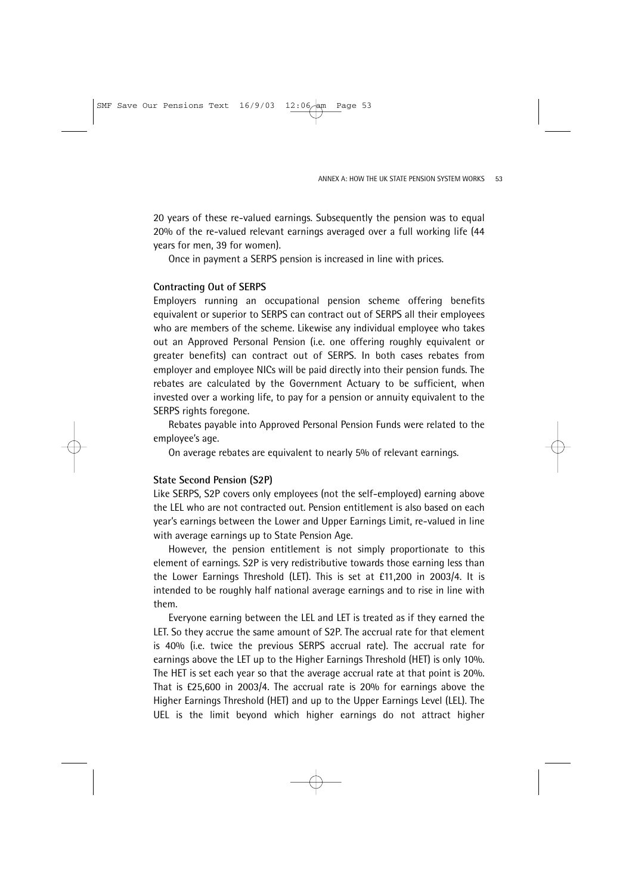20 years of these re-valued earnings. Subsequently the pension was to equal 20% of the re-valued relevant earnings averaged over a full working life (44 years for men, 39 for women).

Once in payment a SERPS pension is increased in line with prices.

### **Contracting Out of SERPS**

Employers running an occupational pension scheme offering benefits equivalent or superior to SERPS can contract out of SERPS all their employees who are members of the scheme. Likewise any individual employee who takes out an Approved Personal Pension (i.e. one offering roughly equivalent or greater benefits) can contract out of SERPS. In both cases rebates from employer and employee NICs will be paid directly into their pension funds. The rebates are calculated by the Government Actuary to be sufficient, when invested over a working life, to pay for a pension or annuity equivalent to the SERPS rights foregone.

Rebates payable into Approved Personal Pension Funds were related to the employee's age.

On average rebates are equivalent to nearly 5% of relevant earnings.

### **State Second Pension (S2P)**

Like SERPS, S2P covers only employees (not the self-employed) earning above the LEL who are not contracted out. Pension entitlement is also based on each year's earnings between the Lower and Upper Earnings Limit, re-valued in line with average earnings up to State Pension Age.

However, the pension entitlement is not simply proportionate to this element of earnings. S2P is very redistributive towards those earning less than the Lower Earnings Threshold (LET). This is set at £11,200 in 2003/4. It is intended to be roughly half national average earnings and to rise in line with them.

Everyone earning between the LEL and LET is treated as if they earned the LET. So they accrue the same amount of S2P. The accrual rate for that element is 40% (i.e. twice the previous SERPS accrual rate). The accrual rate for earnings above the LET up to the Higher Earnings Threshold (HET) is only 10%. The HET is set each year so that the average accrual rate at that point is 20%. That is £25,600 in 2003/4. The accrual rate is 20% for earnings above the Higher Earnings Threshold (HET) and up to the Upper Earnings Level (LEL). The UEL is the limit beyond which higher earnings do not attract higher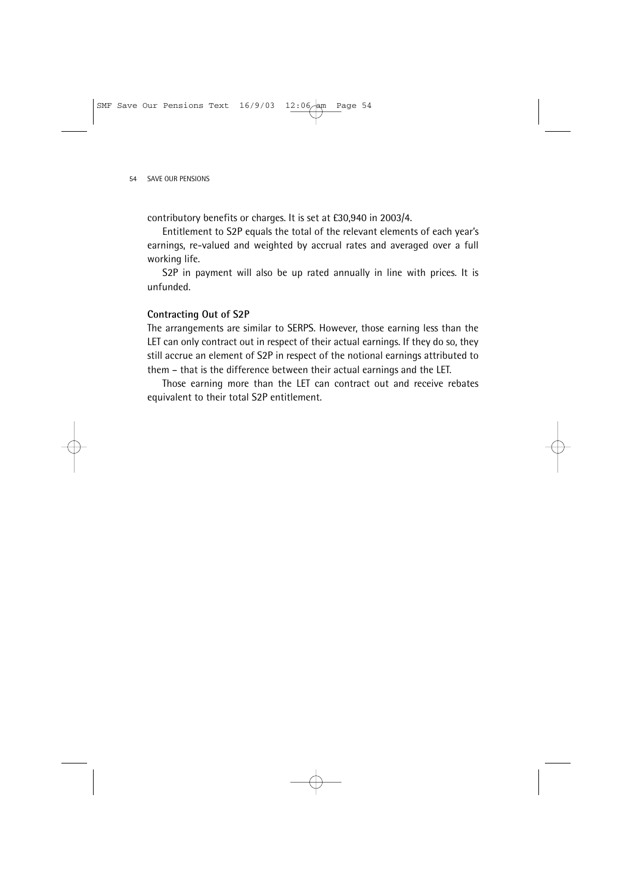contributory benefits or charges. It is set at £30,940 in 2003/4.

Entitlement to S2P equals the total of the relevant elements of each year's earnings, re-valued and weighted by accrual rates and averaged over a full working life.

S2P in payment will also be up rated annually in line with prices. It is unfunded.

### **Contracting Out of S2P**

The arrangements are similar to SERPS. However, those earning less than the LET can only contract out in respect of their actual earnings. If they do so, they still accrue an element of S2P in respect of the notional earnings attributed to them – that is the difference between their actual earnings and the LET.

Those earning more than the LET can contract out and receive rebates equivalent to their total S2P entitlement.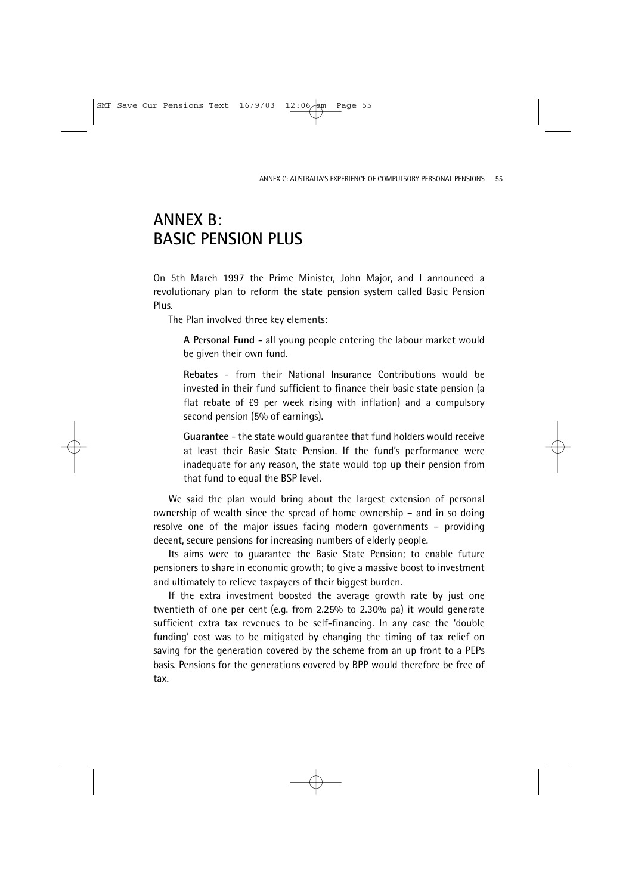# **ANNEX B: BASIC PENSION PLUS**

On 5th March 1997 the Prime Minister, John Major, and I announced a revolutionary plan to reform the state pension system called Basic Pension Plus.

The Plan involved three key elements:

**A Personal Fund** - all young people entering the labour market would be given their own fund.

**Rebates** - from their National Insurance Contributions would be invested in their fund sufficient to finance their basic state pension (a flat rebate of £9 per week rising with inflation) and a compulsory second pension (5% of earnings).

**Guarantee** - the state would guarantee that fund holders would receive at least their Basic State Pension. If the fund's performance were inadequate for any reason, the state would top up their pension from that fund to equal the BSP level.

We said the plan would bring about the largest extension of personal ownership of wealth since the spread of home ownership – and in so doing resolve one of the major issues facing modern governments – providing decent, secure pensions for increasing numbers of elderly people.

Its aims were to guarantee the Basic State Pension; to enable future pensioners to share in economic growth; to give a massive boost to investment and ultimately to relieve taxpayers of their biggest burden.

If the extra investment boosted the average growth rate by just one twentieth of one per cent (e.g. from 2.25% to 2.30% pa) it would generate sufficient extra tax revenues to be self-financing. In any case the 'double funding' cost was to be mitigated by changing the timing of tax relief on saving for the generation covered by the scheme from an up front to a PEPs basis. Pensions for the generations covered by BPP would therefore be free of tax.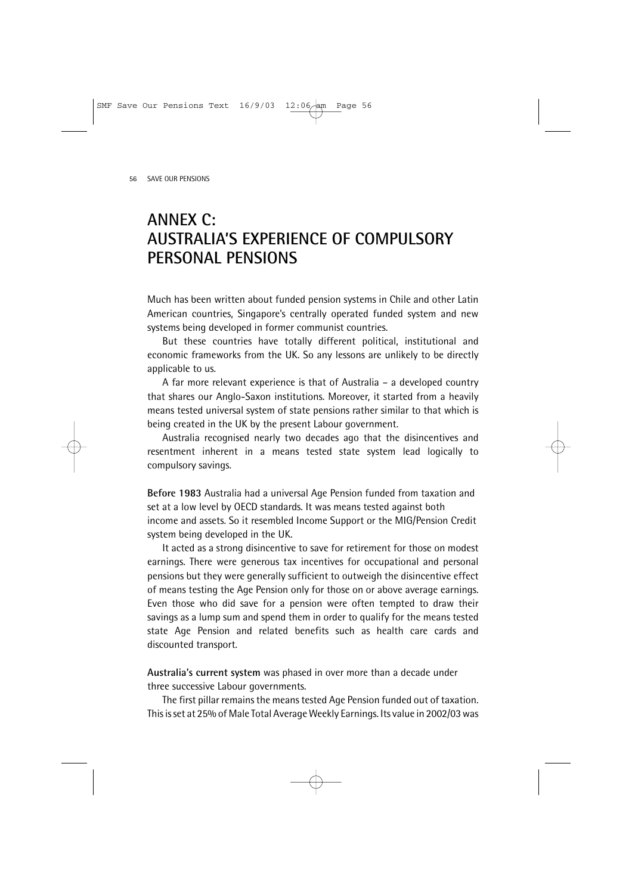## **ANNEX C: AUSTRALIA'S EXPERIENCE OF COMPULSORY PERSONAL PENSIONS**

Much has been written about funded pension systems in Chile and other Latin American countries, Singapore's centrally operated funded system and new systems being developed in former communist countries.

But these countries have totally different political, institutional and economic frameworks from the UK. So any lessons are unlikely to be directly applicable to us.

A far more relevant experience is that of Australia – a developed country that shares our Anglo-Saxon institutions. Moreover, it started from a heavily means tested universal system of state pensions rather similar to that which is being created in the UK by the present Labour government.

Australia recognised nearly two decades ago that the disincentives and resentment inherent in a means tested state system lead logically to compulsory savings.

**Before 1983** Australia had a universal Age Pension funded from taxation and set at a low level by OECD standards. It was means tested against both income and assets. So it resembled Income Support or the MIG/Pension Credit system being developed in the UK.

It acted as a strong disincentive to save for retirement for those on modest earnings. There were generous tax incentives for occupational and personal pensions but they were generally sufficient to outweigh the disincentive effect of means testing the Age Pension only for those on or above average earnings. Even those who did save for a pension were often tempted to draw their savings as a lump sum and spend them in order to qualify for the means tested state Age Pension and related benefits such as health care cards and discounted transport.

**Australia's current system** was phased in over more than a decade under three successive Labour governments.

The first pillar remains the means tested Age Pension funded out of taxation. This is set at 25% of Male Total Average Weekly Earnings. Its value in 2002/03 was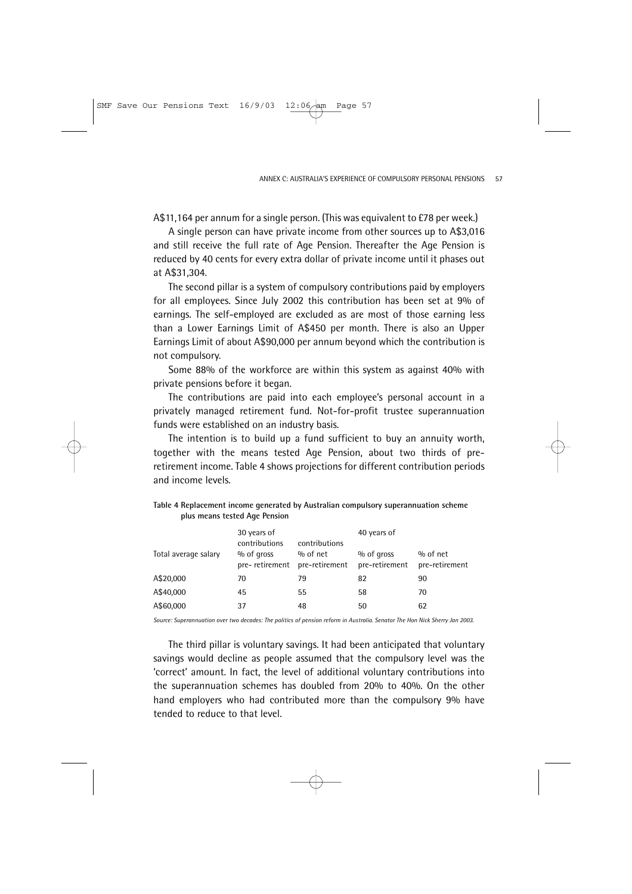A\$11,164 per annum for a single person. (This was equivalent to £78 per week.)

A single person can have private income from other sources up to A\$3,016 and still receive the full rate of Age Pension. Thereafter the Age Pension is reduced by 40 cents for every extra dollar of private income until it phases out at A\$31,304.

The second pillar is a system of compulsory contributions paid by employers for all employees. Since July 2002 this contribution has been set at 9% of earnings. The self-employed are excluded as are most of those earning less than a Lower Earnings Limit of A\$450 per month. There is also an Upper Earnings Limit of about A\$90,000 per annum beyond which the contribution is not compulsory.

Some 88% of the workforce are within this system as against 40% with private pensions before it began.

The contributions are paid into each employee's personal account in a privately managed retirement fund. Not-for-profit trustee superannuation funds were established on an industry basis.

The intention is to build up a fund sufficient to buy an annuity worth, together with the means tested Age Pension, about two thirds of preretirement income. Table 4 shows projections for different contribution periods and income levels.

| Total average salary | 30 years of<br>contributions<br>% of gross<br>pre-retirement | contributions<br>$%$ of net<br>pre-retirement | 40 years of<br>$%$ of gross<br>pre-retirement | $%$ of net<br>pre-retirement |
|----------------------|--------------------------------------------------------------|-----------------------------------------------|-----------------------------------------------|------------------------------|
| A\$20,000            | 70                                                           | 79                                            | 82                                            | 90                           |
| A\$40,000            | 45                                                           | 55                                            | 58                                            | 70                           |
| A\$60,000            | 37                                                           | 48                                            | 50                                            | 62                           |

| Table 4 Replacement income generated by Australian compulsory superannuation scheme |  |
|-------------------------------------------------------------------------------------|--|
| plus means tested Age Pension                                                       |  |

*Source: Superannuation over two decades: The politics of pension reform in Australia. Senator The Hon Nick Sherry Jan 2003.* 

The third pillar is voluntary savings. It had been anticipated that voluntary savings would decline as people assumed that the compulsory level was the 'correct' amount. In fact, the level of additional voluntary contributions into the superannuation schemes has doubled from 20% to 40%. On the other hand employers who had contributed more than the compulsory 9% have tended to reduce to that level.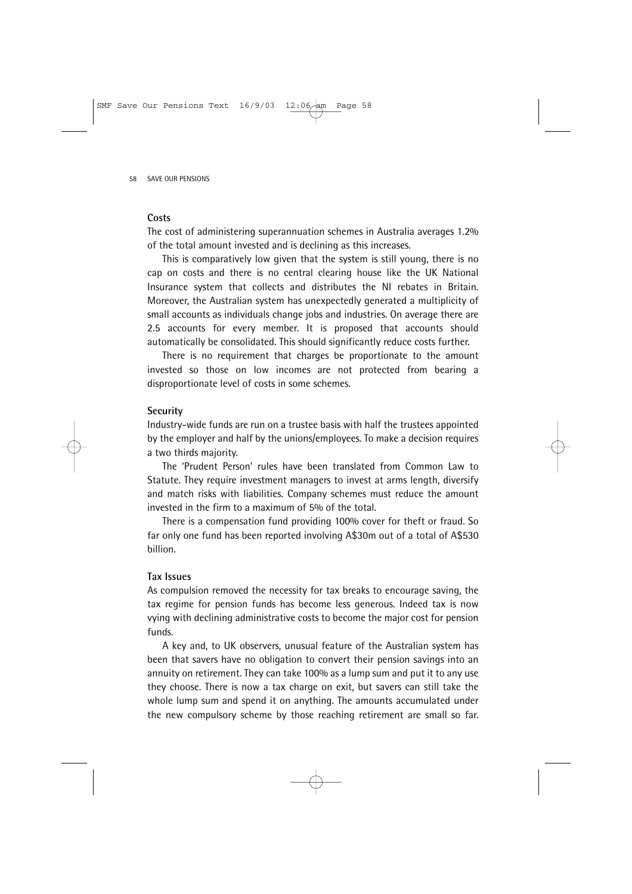### **Costs**

The cost of administering superannuation schemes in Australia averages 1.2% of the total amount invested and is declining as this increases.

This is comparatively low given that the system is still young, there is no cap on costs and there is no central clearing house like the UK National Insurance system that collects and distributes the NI rebates in Britain. Moreover, the Australian system has unexpectedly generated a multiplicity of small accounts as individuals change jobs and industries. On average there are 2.5 accounts for every member. It is proposed that accounts should automatically be consolidated. This should significantly reduce costs further.

There is no requirement that charges be proportionate to the amount invested so those on low incomes are not protected from bearing a disproportionate level of costs in some schemes.

#### **Security**

Industry-wide funds are run on a trustee basis with half the trustees appointed by the employer and half by the unions/employees. To make a decision requires a two thirds majority.

The 'Prudent Person' rules have been translated from Common Law to Statute. They require investment managers to invest at arms length, diversify and match risks with liabilities. Company schemes must reduce the amount invested in the firm to a maximum of 5% of the total.

There is a compensation fund providing 100% cover for theft or fraud. So far only one fund has been reported involving A\$30m out of a total of A\$530 billion.

### **Tax Issues**

As compulsion removed the necessity for tax breaks to encourage saving, the tax regime for pension funds has become less generous. Indeed tax is now vying with declining administrative costs to become the major cost for pension funds.

A key and, to UK observers, unusual feature of the Australian system has been that savers have no obligation to convert their pension savings into an annuity on retirement. They can take 100% as a lump sum and put it to any use they choose. There is now a tax charge on exit, but savers can still take the whole lump sum and spend it on anything. The amounts accumulated under the new compulsory scheme by those reaching retirement are small so far.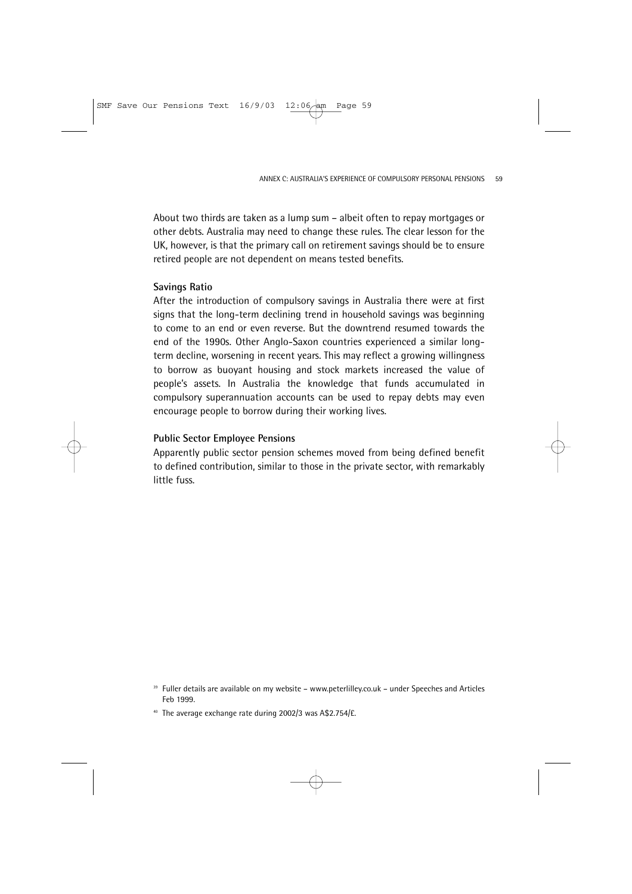About two thirds are taken as a lump sum – albeit often to repay mortgages or other debts. Australia may need to change these rules. The clear lesson for the UK, however, is that the primary call on retirement savings should be to ensure retired people are not dependent on means tested benefits.

### **Savings Ratio**

After the introduction of compulsory savings in Australia there were at first signs that the long-term declining trend in household savings was beginning to come to an end or even reverse. But the downtrend resumed towards the end of the 1990s. Other Anglo-Saxon countries experienced a similar longterm decline, worsening in recent years. This may reflect a growing willingness to borrow as buoyant housing and stock markets increased the value of people's assets. In Australia the knowledge that funds accumulated in compulsory superannuation accounts can be used to repay debts may even encourage people to borrow during their working lives.

### **Public Sector Employee Pensions**

Apparently public sector pension schemes moved from being defined benefit to defined contribution, similar to those in the private sector, with remarkably little fuss.

<sup>39</sup> Fuller details are available on my website – www.peterlilley.co.uk – under Speeches and Articles Feb 1999.

<sup>40</sup> The average exchange rate during 2002/3 was A\$2.754/£.